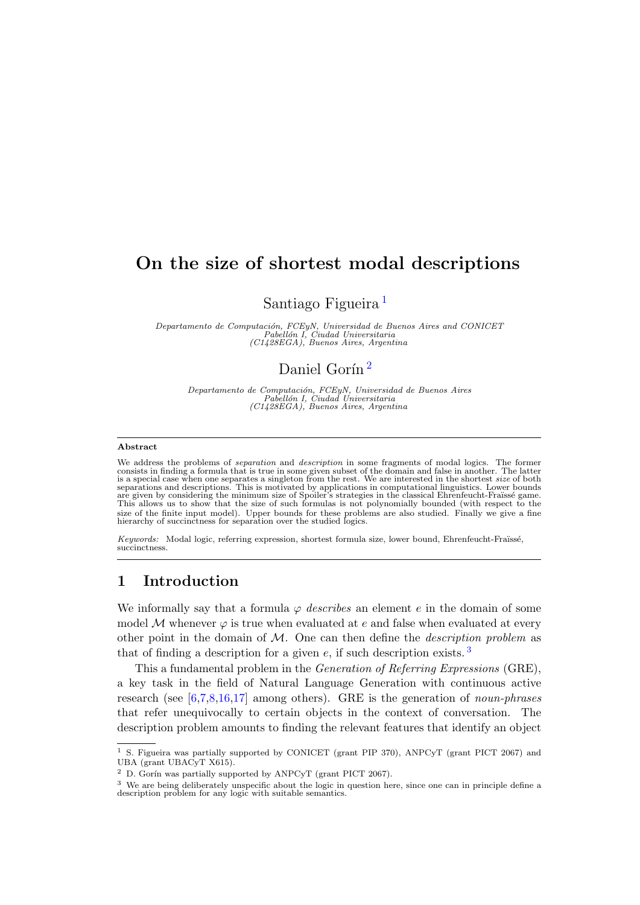# On the size of shortest modal descriptions

Santiago Figueira [1](#page-0-0)

Departamento de Computación, FCEyN, Universidad de Buenos Aires and CONICET<br>Pabellón I, Ciudad Universitaria<br>(C1428EGA), Buenos Aires, Argentina

# Daniel Gorín<sup>[2](#page-0-1)</sup>

Departamento de Computación, FCEyN, Universidad de Buenos Aires<br>Pabellón I, Ciudad Universitaria<br>(C1428EGA), Buenos Aires, Argentina

#### Abstract

We address the problems of *separation* and *description* in some fragments of modal logics. The former consists in finding a formula that is true in some given subset of the domain and false in another. The latter is a sp separations and descriptions. This is motivated by applications in computational linguistics. Lower bounds<br>are given by considering the minimum size of Spoiler's strategies in the classical Ehrenfeucht-Fraïssé game.<br>This a size of the finite input model). Upper bounds for these problems are also studied. Finally we give a fine hierarchy of succinctness for separation over the studied logics.

Keywords: Modal logic, referring expression, shortest formula size, lower bound, Ehrenfeucht-Fraüssé, succinctness.

# 1 Introduction

We informally say that a formula  $\varphi$  describes an element e in the domain of some model M whenever  $\varphi$  is true when evaluated at e and false when evaluated at every other point in the domain of  $M$ . One can then define the *description problem* as that of finding a description for a given  $e$ , if such description exists.<sup>[3](#page-0-2)</sup>

This a fundamental problem in the Generation of Referring Expressions (GRE), a key task in the field of Natural Language Generation with continuous active research (see  $[6,7,8,16,17]$  $[6,7,8,16,17]$  $[6,7,8,16,17]$  $[6,7,8,16,17]$  $[6,7,8,16,17]$  among others). GRE is the generation of *noun-phrases* that refer unequivocally to certain objects in the context of conversation. The description problem amounts to finding the relevant features that identify an object

<span id="page-0-0"></span><sup>&</sup>lt;sup>1</sup> S. Figueira was partially supported by CONICET (grant PIP 370), ANPCyT (grant PICT 2067) and UBA (grant UBACyT X615).

<span id="page-0-1"></span> $2$  D. Gorín was partially supported by ANPCyT (grant PICT 2067).

<span id="page-0-2"></span><sup>&</sup>lt;sup>3</sup> We are being deliberately unspecific about the logic in question here, since one can in principle define a description problem for any logic with suitable semantics.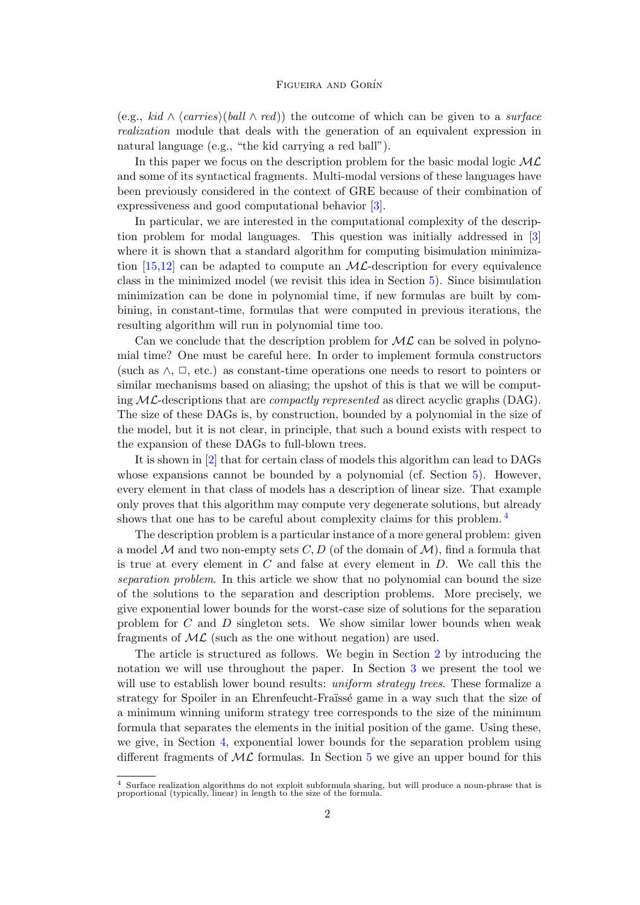(e.g., kid  $\wedge$  {carries}(ball  $\wedge$  red)) the outcome of which can be given to a surface realization module that deals with the generation of an equivalent expression in natural language (e.g., "the kid carrying a red ball").

In this paper we focus on the description problem for the basic modal logic  $ML$ and some of its syntactical fragments. Multi-modal versions of these languages have been previously considered in the context of GRE because of their combination of expressiveness and good computational behavior [\[3\]](#page-16-0).

In particular, we are interested in the computational complexity of the description problem for modal languages. This question was initially addressed in [\[3\]](#page-16-0) where it is shown that a standard algorithm for computing bisimulation minimization  $[15,12]$  $[15,12]$  can be adapted to compute an ML-description for every equivalence class in the minimized model (we revisit this idea in Section [5\)](#page-11-0). Since bisimulation minimization can be done in polynomial time, if new formulas are built by combining, in constant-time, formulas that were computed in previous iterations, the resulting algorithm will run in polynomial time too.

Can we conclude that the description problem for  $ML$  can be solved in polynomial time? One must be careful here. In order to implement formula constructors (such as  $\wedge$ ,  $\Box$ , etc.) as constant-time operations one needs to resort to pointers or similar mechanisms based on aliasing; the upshot of this is that we will be computing  $ML$ -descriptions that are *compactly represented* as direct acyclic graphs (DAG). The size of these DAGs is, by construction, bounded by a polynomial in the size of the model, but it is not clear, in principle, that such a bound exists with respect to the expansion of these DAGs to full-blown trees.

It is shown in [\[2\]](#page-16-1) that for certain class of models this algorithm can lead to DAGs whose expansions cannot be bounded by a polynomial (cf. Section [5\)](#page-11-0). However, every element in that class of models has a description of linear size. That example only proves that this algorithm may compute very degenerate solutions, but already shows that one has to be careful about complexity claims for this problem. <sup>[4](#page-1-0)</sup>

The description problem is a particular instance of a more general problem: given a model M and two non-empty sets C, D (of the domain of  $\mathcal{M}$ ), find a formula that is true at every element in  $C$  and false at every element in  $D$ . We call this the separation problem. In this article we show that no polynomial can bound the size of the solutions to the separation and description problems. More precisely, we give exponential lower bounds for the worst-case size of solutions for the separation problem for C and D singleton sets. We show similar lower bounds when weak fragments of  $ML$  (such as the one without negation) are used.

The article is structured as follows. We begin in Section [2](#page-2-0) by introducing the notation we will use throughout the paper. In Section [3](#page-3-0) we present the tool we will use to establish lower bound results: *uniform strategy trees*. These formalize a strategy for Spoiler in an Ehrenfeucht-Fraïssé game in a way such that the size of a minimum winning uniform strategy tree corresponds to the size of the minimum formula that separates the elements in the initial position of the game. Using these, we give, in Section [4,](#page-8-0) exponential lower bounds for the separation problem using different fragments of  $ML$  formulas. In Section [5](#page-11-0) we give an upper bound for this

<span id="page-1-0"></span><sup>4</sup> Surface realization algorithms do not exploit subformula sharing, but will produce a noun-phrase that is proportional (typically, linear) in length to the size of the formula.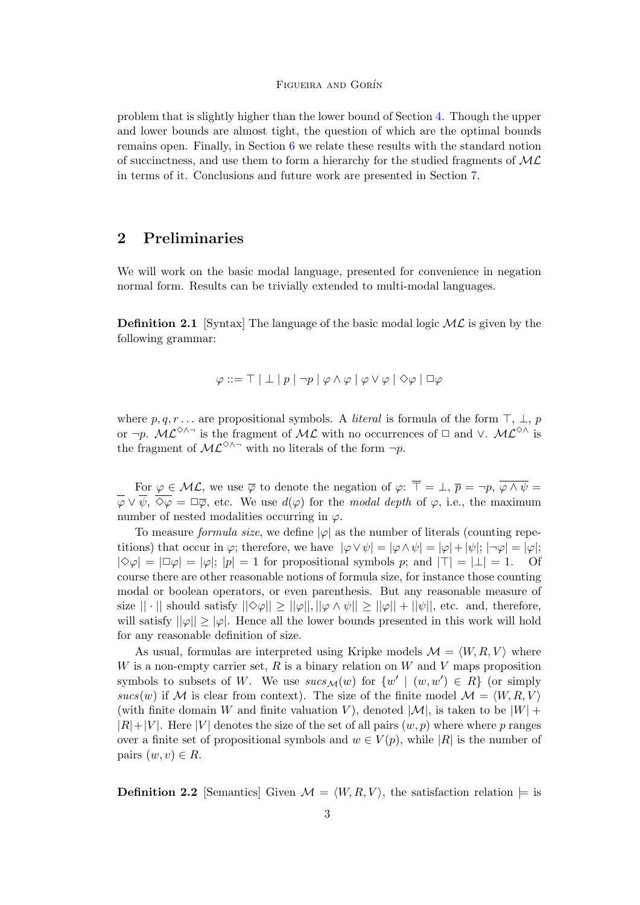problem that is slightly higher than the lower bound of Section [4.](#page-8-0) Though the upper and lower bounds are almost tight, the question of which are the optimal bounds remains open. Finally, in Section [6](#page-13-0) we relate these results with the standard notion of succinctness, and use them to form a hierarchy for the studied fragments of  $ML$ in terms of it. Conclusions and future work are presented in Section [7.](#page-15-0)

## <span id="page-2-0"></span>2 Preliminaries

We will work on the basic modal language, presented for convenience in negation normal form. Results can be trivially extended to multi-modal languages.

**Definition 2.1** [Syntax] The language of the basic modal logic  $ML$  is given by the following grammar:

$$
\varphi ::= \top \mid \bot \mid p \mid \neg p \mid \varphi \wedge \varphi \mid \varphi \vee \varphi \mid \Diamond \varphi \mid \Box \varphi
$$

where  $p, q, r \dots$  are propositional symbols. A *literal* is formula of the form  $\top, \bot, p$ or  $\neg p$ .  $\mathcal{ML}^{\diamond}\wedge\neg$  is the fragment of  $\mathcal{ML}$  with no occurrences of  $\Box$  and  $\lor$ .  $\mathcal{ML}^{\diamond}\wedge$  is the fragment of  $\mathcal{ML}^{\diamondsuit\wedge\neg}$  with no literals of the form  $\neg p$ .

For  $\varphi \in \mathcal{ML}$ , we use  $\overline{\varphi}$  to denote the negation of  $\varphi: \overline{\top} = \bot$ ,  $\overline{p} = \neg p$ ,  $\overline{\varphi \wedge \psi} = \bot$  $\overline{\varphi} \vee \overline{\psi}, \overline{\Diamond \varphi} = \Box \overline{\varphi},$  etc. We use  $d(\varphi)$  for the modal depth of  $\varphi$ , i.e., the maximum number of nested modalities occurring in  $\varphi$ .

To measure *formula size*, we define  $|\varphi|$  as the number of literals (counting repetitions) that occur in  $\varphi$ ; therefore, we have  $|\varphi \vee \psi| = |\varphi \wedge \psi| = |\varphi| + |\psi|$ ;  $|\neg \varphi| = |\varphi|$ ;  $|\diamond \varphi| = |\square \varphi| = |\varphi|; |p| = 1$  for propositional symbols p; and  $|\top| = |\bot| = 1$ . Of course there are other reasonable notions of formula size, for instance those counting modal or boolean operators, or even parenthesis. But any reasonable measure of size  $|| \cdot ||$  should satisfy  $|| \diamond \varphi || \ge || \varphi ||$ ,  $|| \varphi \wedge \psi || \ge || \varphi || + || \psi ||$ , etc. and, therefore, will satisfy  $||\varphi|| \geq |\varphi|$ . Hence all the lower bounds presented in this work will hold for any reasonable definition of size.

As usual, formulas are interpreted using Kripke models  $\mathcal{M} = \langle W, R, V \rangle$  where W is a non-empty carrier set,  $R$  is a binary relation on W and V maps proposition symbols to subsets of W. We use  $sucs_M(w)$  for  $\{w' \mid (w, w') \in R\}$  (or simply sucs(w) if M is clear from context). The size of the finite model  $\mathcal{M} = \langle W, R, V \rangle$ (with finite domain W and finite valuation V), denoted  $|\mathcal{M}|$ , is taken to be  $|W|$  +  $|R|+|V|$ . Here |V| denotes the size of the set of all pairs  $(w, p)$  where where p ranges over a finite set of propositional symbols and  $w \in V(p)$ , while |R| is the number of pairs  $(w, v) \in R$ .

**Definition 2.2** [Semantics] Given  $\mathcal{M} = \langle W, R, V \rangle$ , the satisfaction relation  $\models$  is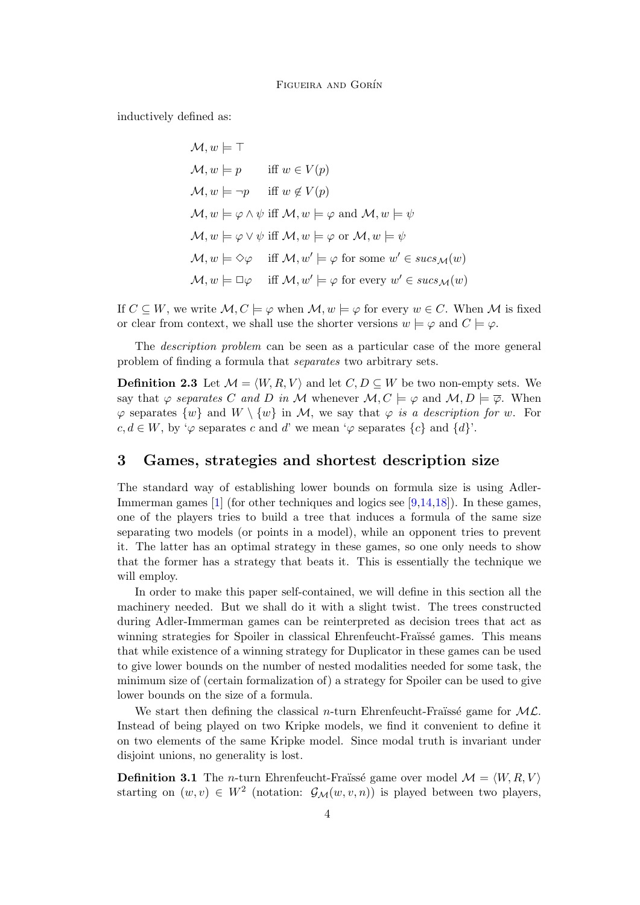inductively defined as:

$$
\mathcal{M}, w \models \top
$$
\n
$$
\mathcal{M}, w \models p \quad \text{iff } w \in V(p)
$$
\n
$$
\mathcal{M}, w \models \neg p \quad \text{iff } w \notin V(p)
$$
\n
$$
\mathcal{M}, w \models \varphi \land \psi \text{ iff } \mathcal{M}, w \models \varphi \text{ and } \mathcal{M}, w \models \psi
$$
\n
$$
\mathcal{M}, w \models \varphi \lor \psi \text{ iff } \mathcal{M}, w \models \varphi \text{ or } \mathcal{M}, w \models \psi
$$
\n
$$
\mathcal{M}, w \models \Diamond \varphi \quad \text{iff } \mathcal{M}, w' \models \varphi \text{ for some } w' \in \mathit{sucs}_{\mathcal{M}}(w)
$$
\n
$$
\mathcal{M}, w \models \Box \varphi \quad \text{iff } \mathcal{M}, w' \models \varphi \text{ for every } w' \in \mathit{sucs}_{\mathcal{M}}(w)
$$

If  $C \subseteq W$ , we write  $\mathcal{M}, C \models \varphi$  when  $\mathcal{M}, w \models \varphi$  for every  $w \in C$ . When  $\mathcal{M}$  is fixed or clear from context, we shall use the shorter versions  $w \models \varphi$  and  $C \models \varphi$ .

The description problem can be seen as a particular case of the more general problem of finding a formula that separates two arbitrary sets.

**Definition 2.3** Let  $\mathcal{M} = \langle W, R, V \rangle$  and let  $C, D \subseteq W$  be two non-empty sets. We say that  $\varphi$  separates C and D in M whenever  $\mathcal{M}, C \models \varphi$  and  $\mathcal{M}, D \models \overline{\varphi}$ . When  $\varphi$  separates  $\{w\}$  and  $W \setminus \{w\}$  in M, we say that  $\varphi$  is a description for w. For  $c, d \in W$ , by ' $\varphi$  separates c and d' we mean ' $\varphi$  separates  $\{c\}$  and  $\{d\}$ '.

### <span id="page-3-0"></span>3 Games, strategies and shortest description size

The standard way of establishing lower bounds on formula size is using Adler-Immerman games  $[1]$  (for other techniques and logics see  $[9,14,18]$  $[9,14,18]$  $[9,14,18]$ ). In these games, one of the players tries to build a tree that induces a formula of the same size separating two models (or points in a model), while an opponent tries to prevent it. The latter has an optimal strategy in these games, so one only needs to show that the former has a strategy that beats it. This is essentially the technique we will employ.

In order to make this paper self-contained, we will define in this section all the machinery needed. But we shall do it with a slight twist. The trees constructed during Adler-Immerman games can be reinterpreted as decision trees that act as winning strategies for Spoiler in classical Ehrenfeucht-Fraïssé games. This means that while existence of a winning strategy for Duplicator in these games can be used to give lower bounds on the number of nested modalities needed for some task, the minimum size of (certain formalization of) a strategy for Spoiler can be used to give lower bounds on the size of a formula.

We start then defining the classical n-turn Ehrenfeucht-Fraüssé game for  $ML$ . Instead of being played on two Kripke models, we find it convenient to define it on two elements of the same Kripke model. Since modal truth is invariant under disjoint unions, no generality is lost.

**Definition 3.1** The *n*-turn Ehrenfeucht-Fraïssé game over model  $\mathcal{M} = \langle W, R, V \rangle$ starting on  $(w, v) \in W^2$  (notation:  $\mathcal{G}_\mathcal{M}(w, v, n)$ ) is played between two players,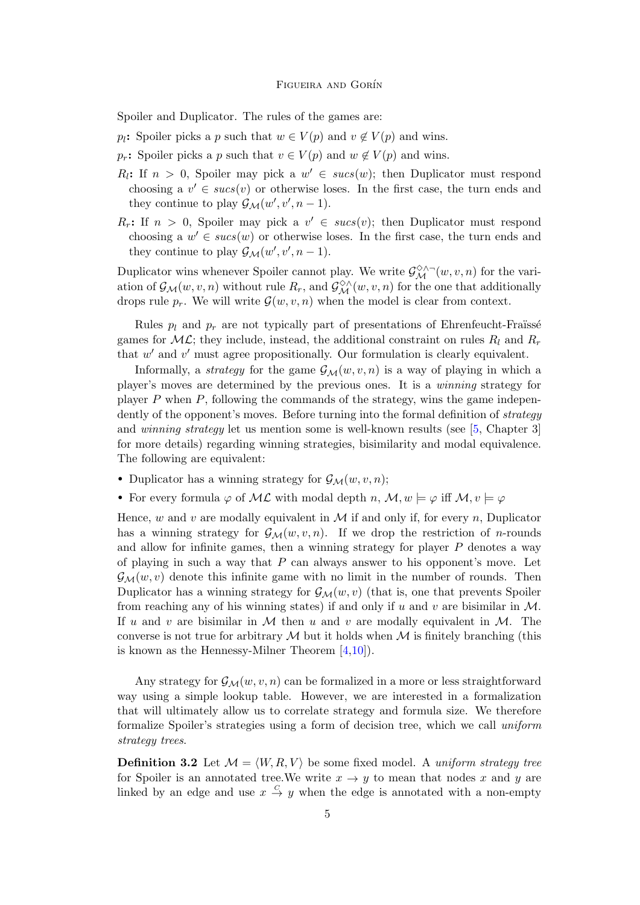Spoiler and Duplicator. The rules of the games are:

 $p_l$ : Spoiler picks a p such that  $w \in V(p)$  and  $v \notin V(p)$  and wins.

 $p_r$ : Spoiler picks a p such that  $v \in V(p)$  and  $w \notin V(p)$  and wins.

- $R_l$ : If  $n > 0$ , Spoiler may pick a  $w' \in sucs(w)$ ; then Duplicator must respond choosing a  $v' \in sucs(v)$  or otherwise loses. In the first case, the turn ends and they continue to play  $\mathcal{G}_{\mathcal{M}}(w', v', n-1)$ .
- $R_r$ : If  $n > 0$ , Spoiler may pick a  $v' \in sucs(v)$ ; then Duplicator must respond choosing a  $w' \in sucs(w)$  or otherwise loses. In the first case, the turn ends and they continue to play  $\mathcal{G}_{\mathcal{M}}(w', v', n-1)$ .

Duplicator wins whenever Spoiler cannot play. We write  $\mathcal{G}_{\mathcal{M}}^{\diamond\wedge\sim}(w, v, n)$  for the variation of  $\mathcal{G}_{\mathcal{M}}(w, v, n)$  without rule  $R_r$ , and  $\mathcal{G}_{\mathcal{M}}^{\diamond \wedge}(w, v, n)$  for the one that additionally drops rule  $p_r$ . We will write  $\mathcal{G}(w, v, n)$  when the model is clear from context.

Rules  $p_l$  and  $p_r$  are not typically part of presentations of Ehrenfeucht-Fraüssé games for  $ML$ ; they include, instead, the additional constraint on rules  $R_l$  and  $R_r$ that  $w'$  and  $v'$  must agree propositionally. Our formulation is clearly equivalent.

Informally, a *strategy* for the game  $\mathcal{G}_{\mathcal{M}}(w, v, n)$  is a way of playing in which a player's moves are determined by the previous ones. It is a winning strategy for player  $P$  when  $P$ , following the commands of the strategy, wins the game independently of the opponent's moves. Before turning into the formal definition of *strategy* and *winning strategy* let us mention some is well-known results (see [\[5,](#page-17-10) Chapter 3] for more details) regarding winning strategies, bisimilarity and modal equivalence. The following are equivalent:

- Duplicator has a winning strategy for  $\mathcal{G}_{\mathcal{M}}(w, v, n);$
- For every formula  $\varphi$  of ML with modal depth n, M,  $w \models \varphi$  iff  $M, v \models \varphi$

Hence, w and v are modally equivalent in  $\mathcal M$  if and only if, for every n, Duplicator has a winning strategy for  $\mathcal{G}_{\mathcal{M}}(w, v, n)$ . If we drop the restriction of *n*-rounds and allow for infinite games, then a winning strategy for player  $P$  denotes a way of playing in such a way that  $P$  can always answer to his opponent's move. Let  $\mathcal{G}_{\mathcal{M}}(w, v)$  denote this infinite game with no limit in the number of rounds. Then Duplicator has a winning strategy for  $\mathcal{G}_{\mathcal{M}}(w, v)$  (that is, one that prevents Spoiler from reaching any of his winning states) if and only if u and v are bisimilar in  $M$ . If u and v are bisimilar in M then u and v are modally equivalent in  $M$ . The converse is not true for arbitrary  $\mathcal M$  but it holds when  $\mathcal M$  is finitely branching (this is known as the Hennessy-Milner Theorem [\[4](#page-16-3)[,10\]](#page-17-11)).

Any strategy for  $\mathcal{G}_{\mathcal{M}}(w, v, n)$  can be formalized in a more or less straightforward way using a simple lookup table. However, we are interested in a formalization that will ultimately allow us to correlate strategy and formula size. We therefore formalize Spoiler's strategies using a form of decision tree, which we call uniform strategy trees.

<span id="page-4-0"></span>**Definition 3.2** Let  $\mathcal{M} = \langle W, R, V \rangle$  be some fixed model. A uniform strategy tree for Spoiler is an annotated tree. We write  $x \to y$  to mean that nodes x and y are linked by an edge and use  $x \stackrel{C}{\rightarrow} y$  when the edge is annotated with a non-empty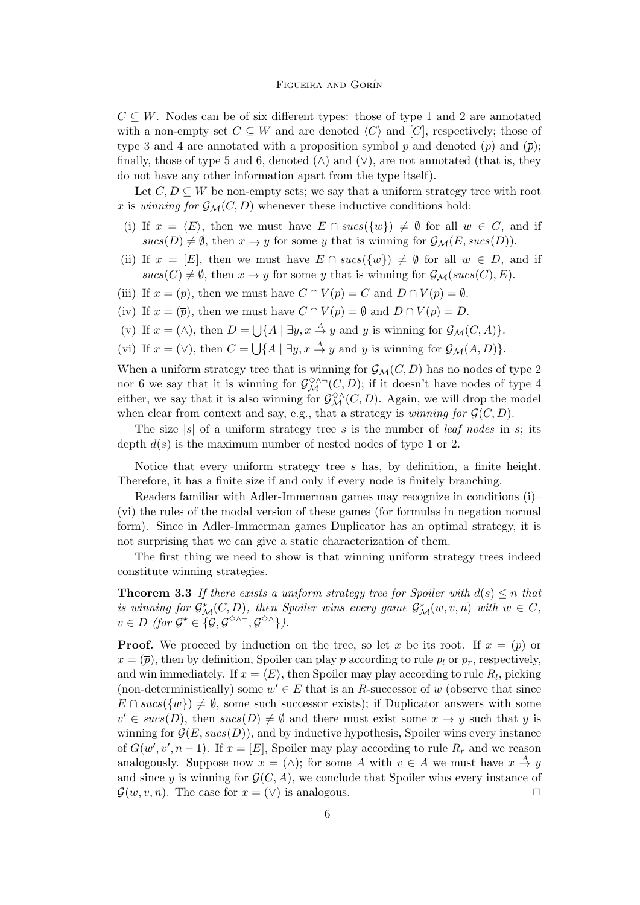$C \subseteq W$ . Nodes can be of six different types: those of type 1 and 2 are annotated with a non-empty set  $C \subseteq W$  and are denoted  $\langle C \rangle$  and  $[C]$ , respectively; those of type 3 and 4 are annotated with a proposition symbol p and denoted  $(p)$  and  $(\bar{p})$ ; finally, those of type 5 and 6, denoted  $(\wedge)$  and  $(\vee)$ , are not annotated (that is, they do not have any other information apart from the type itself).

Let  $C, D \subseteq W$  be non-empty sets; we say that a uniform strategy tree with root x is winning for  $\mathcal{G}_{\mathcal{M}}(C, D)$  whenever these inductive conditions hold:

- (i) If  $x = \langle E \rangle$ , then we must have  $E \cap sucs({w}) \neq \emptyset$  for all  $w \in C$ , and if  $sucs(D) \neq \emptyset$ , then  $x \to y$  for some y that is winning for  $\mathcal{G}_{\mathcal{M}}(E, sucs(D)).$
- (ii) If  $x = [E]$ , then we must have  $E \cap sucs({w}) \neq \emptyset$  for all  $w \in D$ , and if  $sucs(C) \neq \emptyset$ , then  $x \to y$  for some y that is winning for  $\mathcal{G}_{\mathcal{M}}(sucs(C), E)$ .
- (iii) If  $x = (p)$ , then we must have  $C \cap V(p) = C$  and  $D \cap V(p) = \emptyset$ .
- (iv) If  $x = (\overline{p})$ , then we must have  $C \cap V(p) = \emptyset$  and  $D \cap V(p) = D$ .
- (v) If  $x = (\wedge)$ , then  $D = \bigcup \{ A \mid \exists y, x \stackrel{A}{\to} y \text{ and } y \text{ is winning for } \mathcal{G}_{\mathcal{M}}(C, A) \}.$
- (vi) If  $x = (\vee)$ , then  $C = \bigcup \{ A \mid \exists y, x \stackrel{A}{\rightarrow} y \text{ and } y \text{ is winning for } \mathcal{G}_{\mathcal{M}}(A, D) \}.$

When a uniform strategy tree that is winning for  $\mathcal{G}_{\mathcal{M}}(C, D)$  has no nodes of type 2 nor 6 we say that it is winning for  $\mathcal{G}^{\diamondsuit\wedge\neg}(C,D)$ ; if it doesn't have nodes of type 4 either, we say that it is also winning for  $\mathcal{G}^{\diamondsuit\wedge}_{\mathcal{M}}(C,D)$ . Again, we will drop the model when clear from context and say, e.g., that a strategy is *winning for*  $\mathcal{G}(C, D)$ .

The size  $|s|$  of a uniform strategy tree s is the number of *leaf nodes* in s; its depth  $d(s)$  is the maximum number of nested nodes of type 1 or 2.

Notice that every uniform strategy tree s has, by definition, a finite height. Therefore, it has a finite size if and only if every node is finitely branching.

Readers familiar with Adler-Immerman games may recognize in conditions (i)– (vi) the rules of the modal version of these games (for formulas in negation normal form). Since in Adler-Immerman games Duplicator has an optimal strategy, it is not surprising that we can give a static characterization of them.

The first thing we need to show is that winning uniform strategy trees indeed constitute winning strategies.

<span id="page-5-0"></span>**Theorem 3.3** If there exists a uniform strategy tree for Spoiler with  $d(s) \leq n$  that is winning for  $\mathcal{G}^{\star}_{\mathcal{M}}(C,D)$ , then Spoiler wins every game  $\mathcal{G}^{\star}_{\mathcal{M}}(w,v,n)$  with  $w \in C$ ,  $v \in D$  (for  $\mathcal{G}^{\star} \in \{ \mathcal{G}, \mathcal{G}^{\diamond \wedge \neg}, \mathcal{G}^{\diamond \wedge} \}$ ).

**Proof.** We proceed by induction on the tree, so let x be its root. If  $x = (p)$  or  $x = (\bar{p})$ , then by definition, Spoiler can play p according to rule  $p_l$  or  $p_r$ , respectively, and win immediately. If  $x = \langle E \rangle$ , then Spoiler may play according to rule  $R_l$ , picking (non-deterministically) some  $w' \in E$  that is an R-successor of w (observe that since  $E \cap sucs({w}) \neq \emptyset$ , some such successor exists); if Duplicator answers with some  $v' \in sucs(D)$ , then  $sucs(D) \neq \emptyset$  and there must exist some  $x \to y$  such that y is winning for  $\mathcal{G}(E, sucs(D))$ , and by inductive hypothesis, Spoiler wins every instance of  $G(w', v', n-1)$ . If  $x = [E]$ , Spoiler may play according to rule  $R_r$  and we reason analogously. Suppose now  $x = (\wedge)$ ; for some A with  $v \in A$  we must have  $x \stackrel{A}{\rightarrow} y$ and since y is winning for  $\mathcal{G}(C, A)$ , we conclude that Spoiler wins every instance of  $\mathcal{G}(w, v, n)$ . The case for  $x = (\vee)$  is analogous.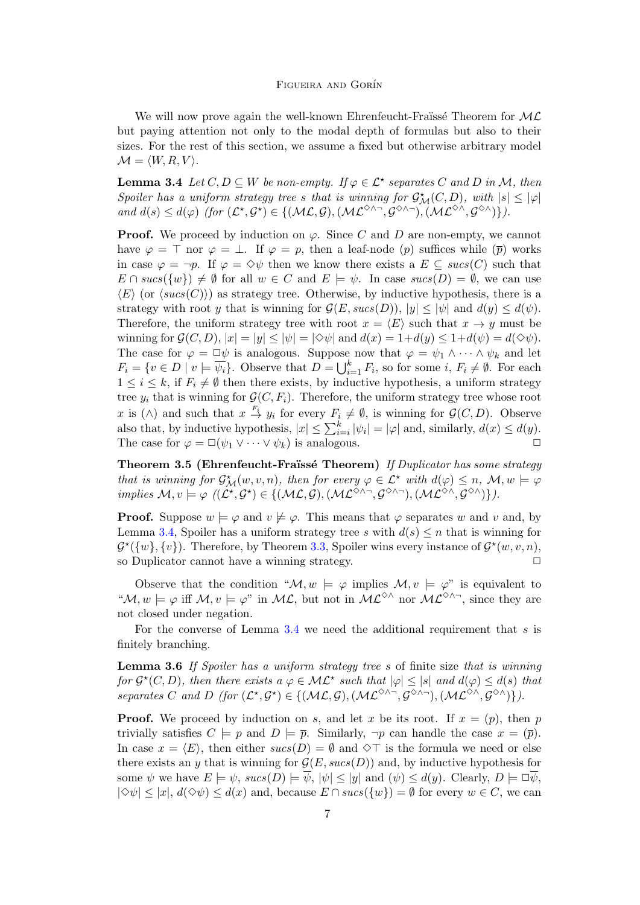We will now prove again the well-known Ehrenfeucht-Fraïssé Theorem for  $ML$ but paying attention not only to the modal depth of formulas but also to their sizes. For the rest of this section, we assume a fixed but otherwise arbitrary model  $\mathcal{M} = \langle W, R, V \rangle$ .

<span id="page-6-0"></span>**Lemma 3.4** Let  $C, D \subseteq W$  be non-empty. If  $\varphi \in \mathcal{L}^*$  separates C and D in M, then Spoiler has a uniform strategy tree s that is winning for  $\mathcal{G}_{\mathcal{M}}^{\star}(C,D)$ , with  $|s| \leq |\varphi|$ and  $d(s) \leq d(\varphi)$  (for  $(\mathcal{L}^\star, \mathcal{G}^\star) \in \{(\mathcal{ML}, \mathcal{G}), (\mathcal{ML}^{\diamondsuit\wedge \neg}, \mathcal{G}^{\diamondsuit\wedge \neg}), (\mathcal{ML}^{\diamondsuit\wedge}, \mathcal{G}^{\diamondsuit\wedge})\}.$ 

**Proof.** We proceed by induction on  $\varphi$ . Since C and D are non-empty, we cannot have  $\varphi = \top$  nor  $\varphi = \bot$ . If  $\varphi = p$ , then a leaf-node (p) suffices while  $(\bar{p})$  works in case  $\varphi = \neg p$ . If  $\varphi = \Diamond \psi$  then we know there exists a  $E \subseteq succ(C)$  such that  $E \cap sucs({w}) \neq \emptyset$  for all  $w \in C$  and  $E \models \psi$ . In case  $sucs(D) = \emptyset$ , we can use  $\langle E \rangle$  (or  $\langle sucs(C) \rangle$ ) as strategy tree. Otherwise, by inductive hypothesis, there is a strategy with root y that is winning for  $\mathcal{G}(E, sucs(D)), |y| \leq |\psi|$  and  $d(y) \leq d(\psi)$ . Therefore, the uniform strategy tree with root  $x = \langle E \rangle$  such that  $x \to y$  must be winning for  $\mathcal{G}(C, D), |x| = |y| \le |\psi| = |\diamond \psi|$  and  $d(x) = 1 + d(y) \le 1 + d(\psi) = d(\diamond \psi)$ . The case for  $\varphi = \Box \psi$  is analogous. Suppose now that  $\varphi = \psi_1 \wedge \cdots \wedge \psi_k$  and let  $F_i = \{v \in D \mid v \models \overline{\psi_i}\}.$  Observe that  $D = \bigcup_{i=1}^k F_i$ , so for some  $i, F_i \neq \emptyset$ . For each  $1 \leq i \leq k$ , if  $F_i \neq \emptyset$  then there exists, by inductive hypothesis, a uniform strategy tree  $y_i$  that is winning for  $\mathcal{G}(C, F_i)$ . Therefore, the uniform strategy tree whose root x is ( $\wedge$ ) and such that  $x \stackrel{F_i}{\to} y_i$  for every  $F_i \neq \emptyset$ , is winning for  $\mathcal{G}(C, D)$ . Observe also that, by inductive hypothesis,  $|x| \leq \sum_{i=i}^{k} |\psi_i| = |\varphi|$  and, similarly,  $d(x) \leq d(y)$ . The case for  $\varphi = \Box(\psi_1 \lor \cdots \lor \psi_k)$  is analogous.  $\Box$ 

Theorem 3.5 (Ehrenfeucht-Fraüssé Theorem) If Duplicator has some strategy that is winning for  $\mathcal{G}^{\star}_{\mathcal{M}}(w, v, n)$ , then for every  $\varphi \in \mathcal{L}^{\star}$  with  $d(\varphi) \leq n$ ,  $\mathcal{M}, w \models \varphi$ implies  $\mathcal{M}, v \models \varphi \ (\ (\mathcal{L}^\star, \mathcal{G}^\star) \in \{ (\mathcal{ML}, \mathcal{G}), (\mathcal{ML}^{\diamond \wedge \neg}, \mathcal{G}^{\diamond \wedge \neg}), (\mathcal{ML}^{\diamond \wedge}, \mathcal{G}^{\diamond \wedge}) \} ).$ 

**Proof.** Suppose  $w \models \varphi$  and  $v \not\models \varphi$ . This means that  $\varphi$  separates w and v and, by Lemma [3.4,](#page-6-0) Spoiler has a uniform strategy tree s with  $d(s) \leq n$  that is winning for  $\mathcal{G}^{\star}(\{w\}, \{v\})$ . Therefore, by Theorem [3.3,](#page-5-0) Spoiler wins every instance of  $\mathcal{G}^{\star}(w, v, n)$ , so Duplicator cannot have a winning strategy.  $\Box$ 

Observe that the condition " $\mathcal{M}, w \models \varphi$  implies  $\mathcal{M}, v \models \varphi$ " is equivalent to " $\mathcal{M}, w \models \varphi$  iff  $\mathcal{M}, v \models \varphi$ " in  $\mathcal{ML}$ , but not in  $\mathcal{ML}^{\diamond} \wedge$ " nor  $\mathcal{ML}^{\diamond} \wedge \neg$ , since they are not closed under negation.

For the converse of Lemma  $3.4$  we need the additional requirement that s is finitely branching.

<span id="page-6-1"></span>**Lemma 3.6** If Spoiler has a uniform strategy tree  $s$  of finite size that is winning for  $\mathcal{G}^{\star}(C,D)$ , then there exists  $a \varphi \in \mathcal{ML}^{\star}$  such that  $|\varphi| \leq |s|$  and  $d(\varphi) \leq d(s)$  that separates C and D (for  $(\mathcal{L}^*, \mathcal{G}^*) \in \{(\mathcal{ML}, \mathcal{G}), (\mathcal{ML}^{\diamond} \land \neg, \mathcal{G}^{\diamond} \land \neg), (\mathcal{ML}^{\diamond} \land, \mathcal{G}^{\diamond} \land)\}\)$ .

**Proof.** We proceed by induction on s, and let x be its root. If  $x = (p)$ , then p trivially satisfies  $C \models p$  and  $D \models \overline{p}$ . Similarly,  $\neg p$  can handle the case  $x = (\overline{p})$ . In case  $x = \langle E \rangle$ , then either  $sucs(D) = \emptyset$  and  $\Diamond \top$  is the formula we need or else there exists an y that is winning for  $G(E, sucs(D))$  and, by inductive hypothesis for some  $\psi$  we have  $E \models \psi$ ,  $sucs(D) \models \overline{\psi}$ ,  $|\psi| \le |y|$  and  $(\psi) \le d(y)$ . Clearly,  $D \models \Box \overline{\psi}$ ,  $|\Diamond \psi| \leq |x|, d(\Diamond \psi) \leq d(x)$  and, because  $E \cap sucs({w}) = \emptyset$  for every  $w \in C$ , we can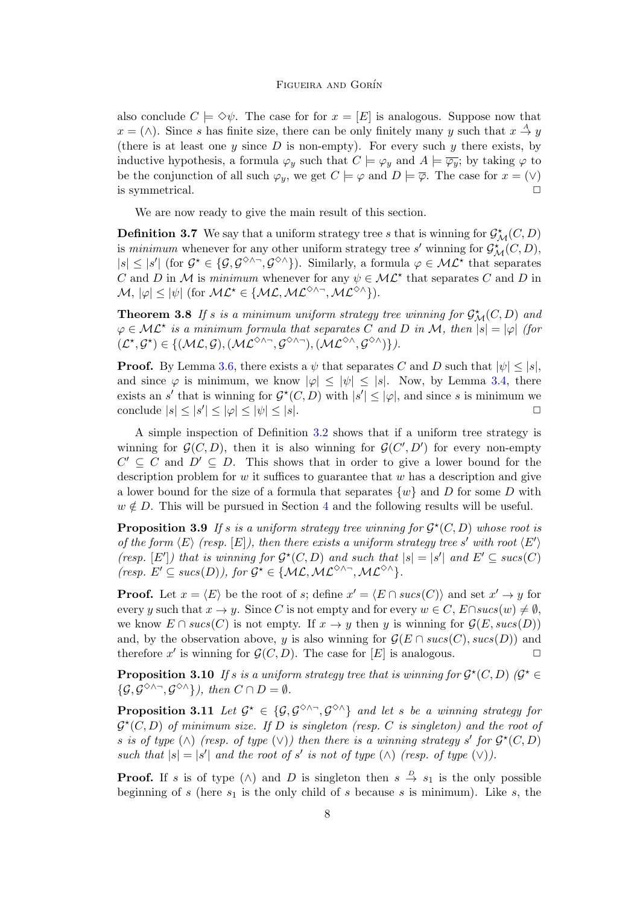also conclude  $C \models \Diamond \psi$ . The case for for  $x = [E]$  is analogous. Suppose now that  $x = (\wedge)$ . Since s has finite size, there can be only finitely many y such that  $x \stackrel{A}{\rightarrow} y$ (there is at least one y since D is non-empty). For every such y there exists, by inductive hypothesis, a formula  $\varphi_y$  such that  $C \models \varphi_y$  and  $A \models \overline{\varphi_y}$ ; by taking  $\varphi$  to be the conjunction of all such  $\varphi_y$ , we get  $C \models \varphi$  and  $D \models \overline{\varphi}$ . The case for  $x = (\vee)$ is symmetrical.  $\Box$ 

We are now ready to give the main result of this section.

**Definition 3.7** We say that a uniform strategy tree s that is winning for  $\mathcal{G}^{\star}_{\mathcal{M}}(C, D)$ is minimum whenever for any other uniform strategy tree s' winning for  $\mathcal{G}^{\star}_{\mathcal{M}}(C,D)$ ,  $|s| \leq |s'|$  (for  $\mathcal{G}^* \in \{\mathcal{G}, \mathcal{G}^{\diamondsuit \wedge \neg}, \mathcal{G}^{\diamondsuit \wedge}\}\)$ ). Similarly, a formula  $\varphi \in \mathcal{ML}^*$  that separates C and D in M is minimum whenever for any  $\psi \in \mathcal{ML}^*$  that separates C and D in  $\mathcal{M}, |\varphi| \leq |\psi| \text{ (for } \mathcal{ML}^* \in \{\mathcal{ML}, \mathcal{ML}^{\diamond \wedge \neg}, \mathcal{ML}^{\diamond \wedge}\}).$ 

<span id="page-7-0"></span>**Theorem 3.8** If s is a minimum uniform strategy tree winning for  $\mathcal{G}_{\mathcal{M}}^{\star}(C, D)$  and  $\varphi \in \mathcal{ML}^*$  is a minimum formula that separates C and D in M, then  $|s| = |\varphi|$  (for  $(\mathcal{L}^\star, \mathcal{G}^\star) \in \{(\mathcal{ML}, \mathcal{G}), (\mathcal{ML}^{\diamondsuit \wedge \neg}, \mathcal{G}^{\diamondsuit \wedge \neg}), (\mathcal{ML}^{\diamondsuit \wedge}, \mathcal{G}^{\diamondsuit \wedge})\}.$ 

**Proof.** By Lemma [3.6,](#page-6-1) there exists a  $\psi$  that separates C and D such that  $|\psi| \leq |s|$ , and since  $\varphi$  is minimum, we know  $|\varphi| \leq |\psi| \leq |s|$ . Now, by Lemma [3.4,](#page-6-0) there exists an s' that is winning for  $\mathcal{G}^*(C, D)$  with  $|s'| \leq |\varphi|$ , and since s is minimum we conclude  $|s| \le |s'| \le |\varphi| \le |\psi| \le |s|$ .

A simple inspection of Definition [3.2](#page-4-0) shows that if a uniform tree strategy is winning for  $\mathcal{G}(C, D)$ , then it is also winning for  $\mathcal{G}(C', D')$  for every non-empty  $C' \subseteq C$  and  $D' \subseteq D$ . This shows that in order to give a lower bound for the description problem for  $w$  it suffices to guarantee that  $w$  has a description and give a lower bound for the size of a formula that separates  $\{w\}$  and D for some D with  $w \notin D$ . This will be pursued in Section [4](#page-8-0) and the following results will be useful.

<span id="page-7-1"></span>**Proposition 3.9** If s is a uniform strategy tree winning for  $\mathcal{G}^{\star}(C, D)$  whose root is of the form  $\langle E \rangle$  (resp.  $[E]$ ), then there exists a uniform strategy tree s' with root  $\langle E' \rangle$ (resp.  $[E']$ ) that is winning for  $\mathcal{G}^*(C,D)$  and such that  $|s|=|s'|$  and  $E' \subseteq sucs(C)$ (resp.  $E' \subseteq sucs(D)$ ), for  $\mathcal{G}^* \in \{ML, ML^{\diamondsuit \wedge \neg}, ML^{\diamondsuit \wedge} \}.$ 

**Proof.** Let  $x = \langle E \rangle$  be the root of s; define  $x' = \langle E \cap sucs(C) \rangle$  and set  $x' \to y$  for every y such that  $x \to y$ . Since C is not empty and for every  $w \in C$ ,  $E \cap sucs(w) \neq \emptyset$ , we know  $E \cap sucs(C)$  is not empty. If  $x \to y$  then y is winning for  $\mathcal{G}(E, sucs(D))$ and, by the observation above, y is also winning for  $\mathcal{G}(E \cap sucs(C), sucs(D))$  and therefore x' is winning for  $\mathcal{G}(C, D)$ . The case for  $[E]$  is analogous.

<span id="page-7-3"></span>**Proposition 3.10** If s is a uniform strategy tree that is winning for  $\mathcal{G}^{\star}(C, D)$  ( $\mathcal{G}^{\star} \in$  $\{\mathcal{G}, \mathcal{G}^{\diamond\wedge\sim}, \mathcal{G}^{\diamond\wedge}\}\)$ , then  $C \cap D = \emptyset$ .

<span id="page-7-2"></span>**Proposition 3.11** Let  $G^* \in \{G, G^{\diamond \wedge n}, G^{\diamond \wedge n}\}\$  and let s be a winning strategy for  $\mathcal{G}^{\star}(C,D)$  of minimum size. If D is singleton (resp. C is singleton) and the root of s is of type  $(\wedge)$  (resp. of type  $(\vee)$ ) then there is a winning strategy s' for  $\mathcal{G}^*(C,D)$ such that  $|s| = |s'|$  and the root of s' is not of type  $(\wedge)$  (resp. of type  $(\vee)$ ).

**Proof.** If s is of type  $(\wedge)$  and D is singleton then  $s \stackrel{D}{\to} s_1$  is the only possible beginning of s (here  $s_1$  is the only child of s because s is minimum). Like s, the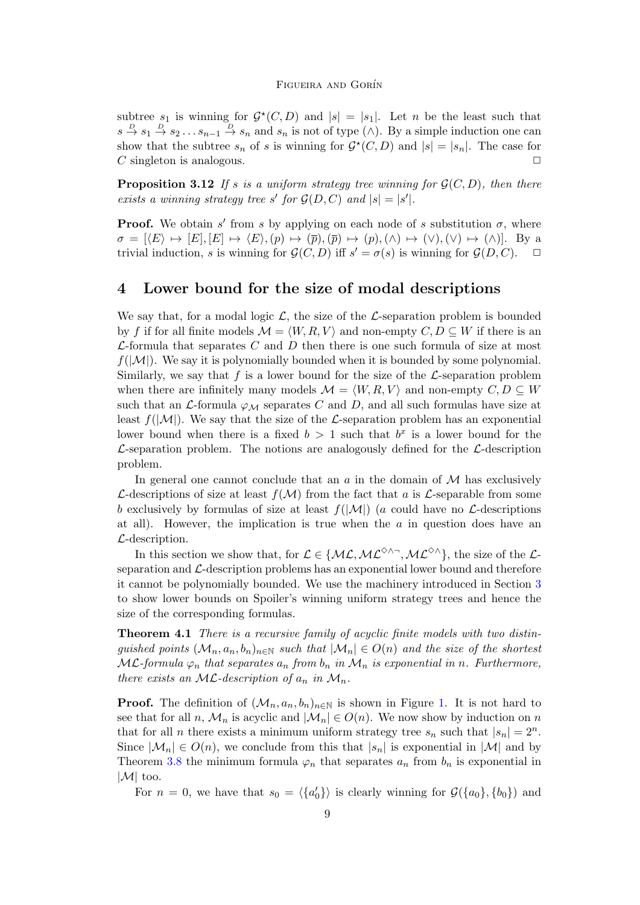subtree  $s_1$  is winning for  $\mathcal{G}^*(C,D)$  and  $|s|=|s_1|$ . Let n be the least such that  $s \stackrel{D}{\to} s_1 \stackrel{D}{\to} s_2 \dots s_{n-1} \stackrel{D}{\to} s_n$  and  $s_n$  is not of type ( $\wedge$ ). By a simple induction one can show that the subtree  $s_n$  of s is winning for  $\mathcal{G}^*(C,D)$  and  $|s|=|s_n|$ . The case for  $C$  singleton is analogous.

<span id="page-8-1"></span>**Proposition 3.12** If s is a uniform strategy tree winning for  $\mathcal{G}(C, D)$ , then there exists a winning strategy tree s' for  $\mathcal{G}(D, C)$  and  $|s| = |s'|$ .

**Proof.** We obtain s' from s by applying on each node of s substitution  $\sigma$ , where  $\sigma = [\langle E \rangle \mapsto [E], [E] \mapsto \langle E \rangle, (p) \mapsto (\overline{p}), (\overline{p}) \mapsto (p), (\wedge) \mapsto (\vee), (\vee) \mapsto (\wedge)].$  By a trivial induction, s is winning for  $\mathcal{G}(C, D)$  iff  $s' = \sigma(s)$  is winning for  $\mathcal{G}(D, C)$ .  $\Box$ 

### <span id="page-8-0"></span>4 Lower bound for the size of modal descriptions

We say that, for a modal logic  $\mathcal{L}$ , the size of the  $\mathcal{L}$ -separation problem is bounded by f if for all finite models  $\mathcal{M} = \langle W, R, V \rangle$  and non-empty  $C, D \subseteq W$  if there is an  $\mathcal{L}$ -formula that separates C and D then there is one such formula of size at most  $f(|\mathcal{M}|)$ . We say it is polynomially bounded when it is bounded by some polynomial. Similarly, we say that f is a lower bound for the size of the  $\mathcal{L}$ -separation problem when there are infinitely many models  $\mathcal{M} = \langle W, R, V \rangle$  and non-empty  $C, D \subseteq W$ such that an  $\mathcal{L}$ -formula  $\varphi_{\mathcal{M}}$  separates C and D, and all such formulas have size at least  $f(|\mathcal{M}|)$ . We say that the size of the L-separation problem has an exponential lower bound when there is a fixed  $b > 1$  such that  $b^x$  is a lower bound for the  $\mathcal{L}$ -separation problem. The notions are analogously defined for the  $\mathcal{L}$ -description problem.

In general one cannot conclude that an  $\alpha$  in the domain of  $\mathcal M$  has exclusively L-descriptions of size at least  $f(\mathcal{M})$  from the fact that a is L-separable from some b exclusively by formulas of size at least  $f(|\mathcal{M}|)$  (a could have no  $\mathcal{L}$ -descriptions at all). However, the implication is true when the  $\alpha$  in question does have an  $\mathcal{L}\text{-description.}$ 

In this section we show that, for  $\mathcal{L} \in \{ML, \mathcal{ML}^{\diamond} \land \neg, \mathcal{ML}^{\diamond} \land \}$ , the size of the  $\mathcal{L}$ separation and  $\mathcal{L}\text{-}\text{description problems}$  has an exponential lower bound and therefore it cannot be polynomially bounded. We use the machinery introduced in Section [3](#page-3-0) to show lower bounds on Spoiler's winning uniform strategy trees and hence the size of the corresponding formulas.

<span id="page-8-2"></span>Theorem 4.1 There is a recursive family of acyclic finite models with two distinguished points  $(\mathcal{M}_n, a_n, b_n)_{n \in \mathbb{N}}$  such that  $|\mathcal{M}_n| \in O(n)$  and the size of the shortest  $ML$ -formula  $\varphi_n$  that separates  $a_n$  from  $b_n$  in  $\mathcal{M}_n$  is exponential in n. Furthermore, there exists an ML-description of  $a_n$  in  $\mathcal{M}_n$ .

**Proof.** The definition of  $(M_n, a_n, b_n)_{n \in \mathbb{N}}$  is shown in Figure [1.](#page-9-0) It is not hard to see that for all n,  $\mathcal{M}_n$  is acyclic and  $|\mathcal{M}_n| \in O(n)$ . We now show by induction on n that for all *n* there exists a minimum uniform strategy tree  $s_n$  such that  $|s_n| = 2^n$ . Since  $|\mathcal{M}_n| \in O(n)$ , we conclude from this that  $|s_n|$  is exponential in  $|\mathcal{M}|$  and by Theorem [3.8](#page-7-0) the minimum formula  $\varphi_n$  that separates  $a_n$  from  $b_n$  is exponential in  $|\mathcal{M}|$  too.

For  $n = 0$ , we have that  $s_0 = \langle \{a'_0\} \rangle$  is clearly winning for  $\mathcal{G}(\{a_0\}, \{b_0\})$  and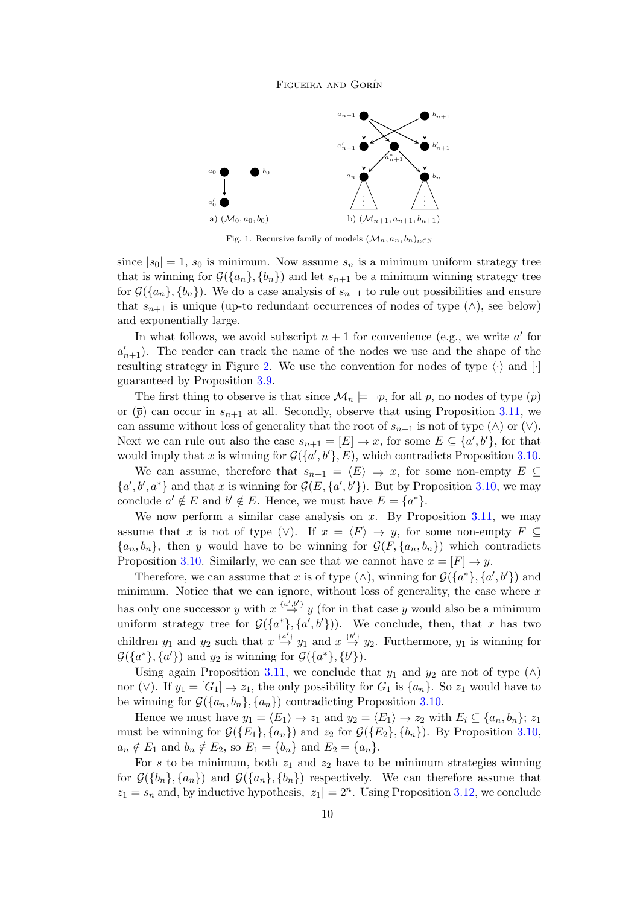

<span id="page-9-0"></span>Fig. 1. Recursive family of models  $(\mathcal{M}_n, a_n, b_n)_{n \in \mathbb{N}}$ 

since  $|s_0| = 1$ ,  $s_0$  is minimum. Now assume  $s_n$  is a minimum uniform strategy tree that is winning for  $\mathcal{G}(\{a_n\}, \{b_n\})$  and let  $s_{n+1}$  be a minimum winning strategy tree for  $\mathcal{G}(\{a_n\}, \{b_n\})$ . We do a case analysis of  $s_{n+1}$  to rule out possibilities and ensure that  $s_{n+1}$  is unique (up-to redundant occurrences of nodes of type  $(\wedge)$ , see below) and exponentially large.

In what follows, we avoid subscript  $n + 1$  for convenience (e.g., we write  $a'$  for  $a'_{n+1}$ ). The reader can track the name of the nodes we use and the shape of the resulting strategy in Figure [2.](#page-10-0) We use the convention for nodes of type  $\langle \cdot \rangle$  and  $[\cdot]$ guaranteed by Proposition [3.9.](#page-7-1)

The first thing to observe is that since  $\mathcal{M}_n \models \neg p$ , for all p, no nodes of type  $(p)$ or  $(\bar{p})$  can occur in  $s_{n+1}$  at all. Secondly, observe that using Proposition [3.11,](#page-7-2) we can assume without loss of generality that the root of  $s_{n+1}$  is not of type  $(\wedge)$  or  $(\vee)$ . Next we can rule out also the case  $s_{n+1} = [E] \to x$ , for some  $E \subseteq \{a', b'\}$ , for that would imply that x is winning for  $\mathcal{G}(\{a',b'\},E)$ , which contradicts Proposition [3.10.](#page-7-3)

We can assume, therefore that  $s_{n+1} = \langle E \rangle \to x$ , for some non-empty  $E \subseteq$  ${a', b', a^*}$  and that x is winning for  $\mathcal{G}(E, \{a', b'\})$ . But by Proposition [3.10,](#page-7-3) we may conclude  $a' \notin E$  and  $b' \notin E$ . Hence, we must have  $E = \{a^*\}.$ 

We now perform a similar case analysis on x. By Proposition  $3.11$ , we may assume that x is not of type (∨). If  $x = \langle F \rangle \to y$ , for some non-empty  $F \subseteq$  ${a_n, b_n}$ , then y would have to be winning for  $\mathcal{G}(F, \{a_n, b_n\})$  which contradicts Proposition [3.10.](#page-7-3) Similarly, we can see that we cannot have  $x = [F] \rightarrow y$ .

Therefore, we can assume that x is of type  $(\wedge)$ , winning for  $\mathcal{G}(\{a^*\}, \{a', b'\})$  and minimum. Notice that we can ignore, without loss of generality, the case where  $x$ has only one successor y with  $x \stackrel{\{a',b'\}}{\rightarrow} y$  (for in that case y would also be a minimum uniform strategy tree for  $\mathcal{G}(\{a^*\}, \{a', b'\})$ ). We conclude, then, that x has two children  $y_1$  and  $y_2$  such that  $x \stackrel{\{a'\}}{\rightarrow} y_1$  and  $x \stackrel{\{b'\}}{\rightarrow} y_2$ . Furthermore,  $y_1$  is winning for  $\mathcal{G}(\{a^*\}, \{a'\})$  and  $y_2$  is winning for  $\mathcal{G}(\{a^*\}, \{b'\})$ .

Using again Proposition [3.11,](#page-7-2) we conclude that  $y_1$  and  $y_2$  are not of type ( $\wedge$ ) nor (∨). If  $y_1 = [G_1] \rightarrow z_1$ , the only possibility for  $G_1$  is  $\{a_n\}$ . So  $z_1$  would have to be winning for  $\mathcal{G}(\{a_n, b_n\}, \{a_n\})$  contradicting Proposition [3.10.](#page-7-3)

Hence we must have  $y_1 = \langle E_1 \rangle \to z_1$  and  $y_2 = \langle E_1 \rangle \to z_2$  with  $E_i \subseteq \{a_n, b_n\}; z_1$ must be winning for  $\mathcal{G}(\{E_1\}, \{a_n\})$  and  $z_2$  for  $\mathcal{G}(\{E_2\}, \{b_n\})$ . By Proposition [3.10,](#page-7-3)  $a_n \notin E_1$  and  $b_n \notin E_2$ , so  $E_1 = \{b_n\}$  and  $E_2 = \{a_n\}.$ 

For s to be minimum, both  $z_1$  and  $z_2$  have to be minimum strategies winning for  $\mathcal{G}(\{b_n\}, \{a_n\})$  and  $\mathcal{G}(\{a_n\}, \{b_n\})$  respectively. We can therefore assume that  $z_1 = s_n$  and, by inductive hypothesis,  $|z_1| = 2^n$ . Using Proposition [3.12,](#page-8-1) we conclude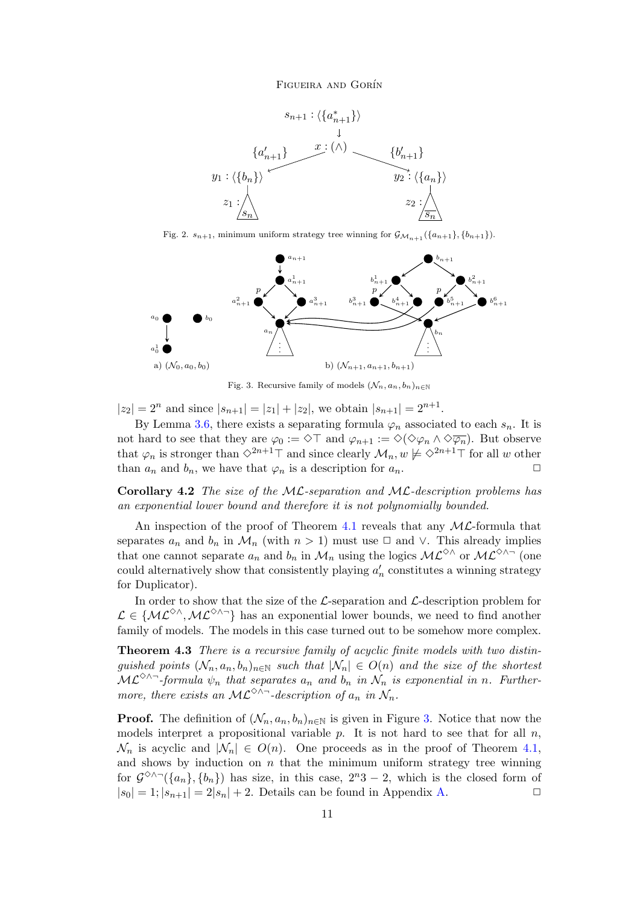

<span id="page-10-0"></span>Fig. 2.  $s_{n+1}$ , minimum uniform strategy tree winning for  $\mathcal{G}_{\mathcal{M}_{n+1}}(\{a_{n+1}\}, \{b_{n+1}\})$ .



<span id="page-10-1"></span>Fig. 3. Recursive family of models  $(\mathcal{N}_n, a_n, b_n)_{n\in\mathbb{N}}$ 

 $|z_2| = 2^n$  and since  $|s_{n+1}| = |z_1| + |z_2|$ , we obtain  $|s_{n+1}| = 2^{n+1}$ .

By Lemma [3.6,](#page-6-1) there exists a separating formula  $\varphi_n$  associated to each  $s_n$ . It is not hard to see that they are  $\varphi_0 := \Diamond \top$  and  $\varphi_{n+1} := \Diamond (\Diamond \varphi_n \land \Diamond \overline{\varphi_n})$ . But observe that  $\varphi_n$  is stronger than  $\Diamond^{2n+1}\top$  and since clearly  $\mathcal{M}_n, w \not\models \Diamond^{2n+1}\top$  for all w other than  $a_n$  and  $b_n$ , we have that  $\varphi_n$  is a description for  $a_n$ .

<span id="page-10-3"></span>**Corollary 4.2** The size of the ML-separation and ML-description problems has an exponential lower bound and therefore it is not polynomially bounded.

An inspection of the proof of Theorem [4.1](#page-8-2) reveals that any  $ML$ -formula that separates  $a_n$  and  $b_n$  in  $\mathcal{M}_n$  (with  $n > 1$ ) must use  $\Box$  and  $\lor$ . This already implies that one cannot separate  $a_n$  and  $b_n$  in  $\mathcal{M}_n$  using the logics  $\mathcal{ML}^{\diamond\wedge}$  or  $\mathcal{ML}^{\diamond\wedge}$  (one could alternatively show that consistently playing  $a'_n$  constitutes a winning strategy for Duplicator).

In order to show that the size of the  $\mathcal{L}\text{-separation}$  and  $\mathcal{L}\text{-description problem}$  for  $\mathcal{L} \in \{ML^{\diamondsuit\wedge},ML^{\diamondsuit\wedge\neg}\}\$  has an exponential lower bounds, we need to find another family of models. The models in this case turned out to be somehow more complex.

<span id="page-10-2"></span>Theorem 4.3 There is a recursive family of acyclic finite models with two distinguished points  $(\mathcal{N}_n, a_n, b_n)_{n \in \mathbb{N}}$  such that  $|\mathcal{N}_n| \in O(n)$  and the size of the shortest  $\mathcal{ML}^{\diamond\wedge\sim}$ -formula  $\psi_n$  that separates  $a_n$  and  $b_n$  in  $\mathcal{N}_n$  is exponential in n. Furthermore, there exists an ML<sup> $\diamond \wedge \neg$ </sup>-description of  $a_n$  in  $\mathcal{N}_n$ .

**Proof.** The definition of  $(\mathcal{N}_n, a_n, b_n)_{n \in \mathbb{N}}$  is given in Figure [3.](#page-10-1) Notice that now the models interpret a propositional variable  $p$ . It is not hard to see that for all  $n$ ,  $\mathcal{N}_n$  is acyclic and  $|\mathcal{N}_n| \in O(n)$ . One proceeds as in the proof of Theorem [4.1,](#page-8-2) and shows by induction on  $n$  that the minimum uniform strategy tree winning for  $\mathcal{G}^{\diamond\wedge\sim}(\{a_n\},\{b_n\})$  has size, in this case,  $2^n3-2$ , which is the closed form of  $|s_0| = 1$ ;  $|s_{n+1}| = 2|s_n| + 2$ . Details can be found in Appendix [A.](#page-17-12)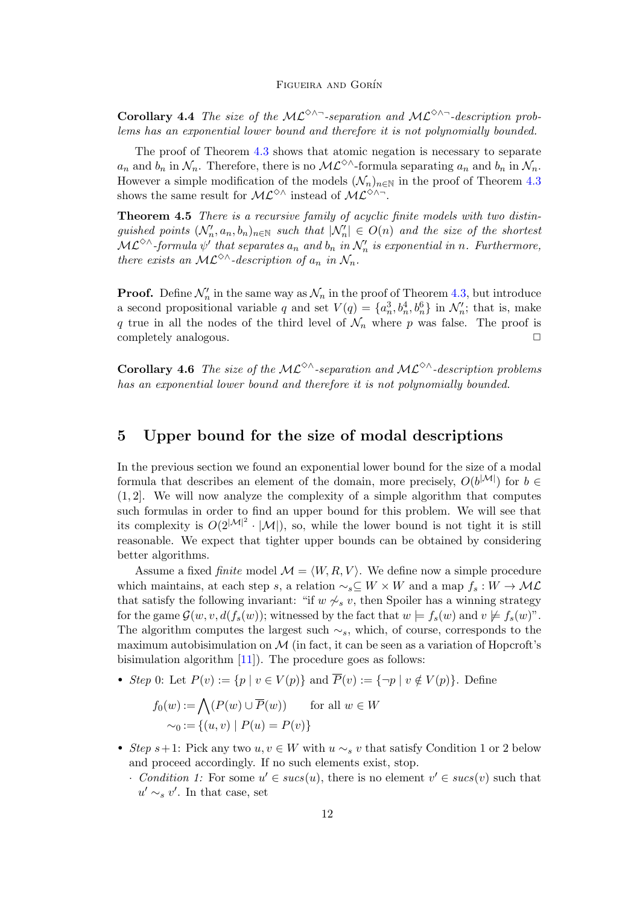<span id="page-11-2"></span>Corollary 4.4 The size of the ML<sup> $\diamond \land \neg$ </sup>-separation and ML<sup> $\diamond \land \neg$ </sup>-description problems has an exponential lower bound and therefore it is not polynomially bounded.

The proof of Theorem [4.3](#page-10-2) shows that atomic negation is necessary to separate  $a_n$  and  $b_n$  in  $\mathcal{N}_n$ . Therefore, there is no  $\mathcal{ML}^{\diamond\wedge}$ -formula separating  $a_n$  and  $b_n$  in  $\mathcal{N}_n$ . However a simple modification of the models  $(\mathcal{N}_n)_{n\in\mathbb{N}}$  in the proof of Theorem [4.3](#page-10-2) shows the same result for  $\mathcal{ML}^{\diamond}\wedge \text{ instead of } \mathcal{ML}^{\diamond}\wedge \neg$ .

<span id="page-11-1"></span>Theorem 4.5 There is a recursive family of acyclic finite models with two distinguished points  $(\mathcal{N}'_n, a_n, b_n)_{n \in \mathbb{N}}$  such that  $|\mathcal{N}'_n| \in O(n)$  and the size of the shortest  $\mathcal{ML}^{\diamond\wedge}$ -formula  $\psi'$  that separates  $a_n$  and  $b_n$  in  $\mathcal{N}'_n$  is exponential in n. Furthermore, there exists an  $ML^{\diamondsuit\wedge}$ -description of  $a_n$  in  $\mathcal{N}_n$ .

**Proof.** Define  $\mathcal{N}'_n$  in the same way as  $\mathcal{N}_n$  in the proof of Theorem [4.3,](#page-10-2) but introduce a second propositional variable q and set  $V(q) = \{a_n^3, b_n^4, b_n^6\}$  in  $\mathcal{N}'_n$ ; that is, make q true in all the nodes of the third level of  $\mathcal{N}_n$  where p was false. The proof is completely analogous.

<span id="page-11-3"></span>**Corollary 4.6** The size of the ML<sup> $\diamond \wedge$ </sup>-separation and ML<sup> $\diamond \wedge$ </sup>-description problems has an exponential lower bound and therefore it is not polynomially bounded.

## <span id="page-11-0"></span>5 Upper bound for the size of modal descriptions

In the previous section we found an exponential lower bound for the size of a modal formula that describes an element of the domain, more precisely,  $O(b^{|\mathcal{M}|})$  for  $b \in$ (1, 2]. We will now analyze the complexity of a simple algorithm that computes such formulas in order to find an upper bound for this problem. We will see that its complexity is  $O(2^{|\mathcal{M}|^2} \cdot |\mathcal{M}|)$ , so, while the lower bound is not tight it is still reasonable. We expect that tighter upper bounds can be obtained by considering better algorithms.

Assume a fixed *finite* model  $\mathcal{M} = \langle W, R, V \rangle$ . We define now a simple procedure which maintains, at each step s, a relation  $\sim$ <sub>s</sub>⊆ W × W and a map  $f_s: W \to \mathcal{ML}$ that satisfy the following invariant: "if  $w \not\sim_s v$ , then Spoiler has a winning strategy for the game  $\mathcal{G}(w, v, d(f_s(w))$ ; witnessed by the fact that  $w \models f_s(w)$  and  $v \not\models f_s(w)$ ". The algorithm computes the largest such  $\sim_s$ , which, of course, corresponds to the maximum autobisimulation on  $\mathcal M$  (in fact, it can be seen as a variation of Hopcroft's bisimulation algorithm [\[11\]](#page-17-13)). The procedure goes as follows:

• Step 0: Let  $P(v) := \{p \mid v \in V(p)\}\$ and  $\overline{P}(v) := \{\neg p \mid v \notin V(p)\}\$ . Define

$$
f_0(w) := \bigwedge (P(w) \cup \overline{P}(w)) \quad \text{for all } w \in W
$$

$$
\sim_0 := \{(u, v) \mid P(u) = P(v)\}
$$

- Step s+1: Pick any two  $u, v \in W$  with  $u \sim_s v$  that satisfy Condition 1 or 2 below and proceed accordingly. If no such elements exist, stop.
	- Condition 1: For some  $u' \in sucs(u)$ , there is no element  $v' \in sucs(v)$  such that  $u' \sim_s v'$ . In that case, set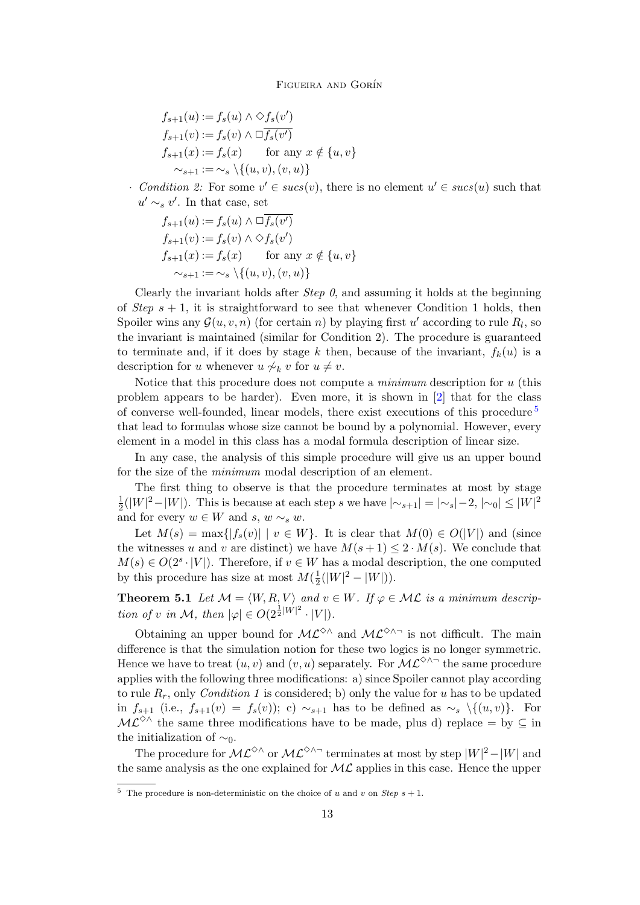$$
f_{s+1}(u) := f_s(u) \wedge \Diamond f_s(v')
$$
  
\n
$$
f_{s+1}(v) := f_s(v) \wedge \Box f_s(v')
$$
  
\n
$$
f_{s+1}(x) := f_s(x) \qquad \text{for any } x \notin \{u, v\}
$$
  
\n
$$
\sim_{s+1} := \sim_s \setminus \{(u, v), (v, u)\}
$$

• Condition 2: For some  $v' \in sucs(v)$ , there is no element  $u' \in sucs(u)$  such that  $u' \sim_s v'$ . In that case, set

$$
f_{s+1}(u) := f_s(u) \wedge \Box \overline{f_s(v')}
$$
  
\n
$$
f_{s+1}(v) := f_s(v) \wedge \Diamond f_s(v')
$$
  
\n
$$
f_{s+1}(x) := f_s(x) \qquad \text{for any } x \notin \{u, v\}
$$
  
\n
$$
\sim_{s+1} := \sim_s \setminus \{(u, v), (v, u)\}
$$

Clearly the invariant holds after *Step 0*, and assuming it holds at the beginning of Step  $s + 1$ , it is straightforward to see that whenever Condition 1 holds, then Spoiler wins any  $\mathcal{G}(u, v, n)$  (for certain n) by playing first u' according to rule  $R_l$ , so the invariant is maintained (similar for Condition 2). The procedure is guaranteed to terminate and, if it does by stage k then, because of the invariant,  $f_k(u)$  is a description for u whenever  $u \nsim_k v$  for  $u \neq v$ .

Notice that this procedure does not compute a *minimum* description for  $u$  (this problem appears to be harder). Even more, it is shown in [\[2\]](#page-16-1) that for the class of converse well-founded, linear models, there exist executions of this procedure  $5$ that lead to formulas whose size cannot be bound by a polynomial. However, every element in a model in this class has a modal formula description of linear size.

In any case, the analysis of this simple procedure will give us an upper bound for the size of the minimum modal description of an element.

The first thing to observe is that the procedure terminates at most by stage 1  $\frac{1}{2}(|W|^2 - |W|)$ . This is because at each step s we have  $|\sim_{s+1}| = |\sim_s| - 2$ ,  $|\sim_0| \le |W|^2$ and for every  $w \in W$  and  $s, w \sim_s w$ .

Let  $M(s) = \max\{|f_s(v)| \mid v \in W\}$ . It is clear that  $M(0) \in O(|V|)$  and (since the witnesses u and v are distinct) we have  $M(s+1) \leq 2 \cdot M(s)$ . We conclude that  $M(s) \in O(2^s \cdot |V|)$ . Therefore, if  $v \in W$  has a modal description, the one computed by this procedure has size at most  $M(\frac{1}{2})$  $\frac{1}{2}(|W|^2 - |W|)$ ).

**Theorem 5.1** Let  $M = \langle W, R, V \rangle$  and  $v \in W$ . If  $\varphi \in ML$  is a minimum description of v in M, then  $|\varphi| \in O(2^{\frac{1}{2}|W|^2} \cdot |V|)$ .

Obtaining an upper bound for  $ML^{\diamondsuit\wedge}$  and  $ML^{\diamondsuit\wedge\neg}$  is not difficult. The main difference is that the simulation notion for these two logics is no longer symmetric. Hence we have to treat  $(u, v)$  and  $(v, u)$  separately. For  $ML^{\diamondsuit\wedge\neg}$  the same procedure applies with the following three modifications: a) since Spoiler cannot play according to rule  $R_r$ , only *Condition 1* is considered; b) only the value for u has to be updated in  $f_{s+1}$  (i.e.,  $f_{s+1}(v) = f_s(v)$ ); c) ∼s<sub>+1</sub> has to be defined as ∼s \{(u,v)}. For  $ML^{\diamondsuit\wedge}$  the same three modifications have to be made, plus d) replace = by  $\subseteq$  in the initialization of  $\sim_0$ .

The procedure for  $ML^{\diamondsuit\wedge}$  or  $ML^{\diamondsuit\wedge\neg}$  terminates at most by step  $|W|^2-|W|$  and the same analysis as the one explained for  $ML$  applies in this case. Hence the upper

<span id="page-12-0"></span><sup>&</sup>lt;sup>5</sup> The procedure is non-deterministic on the choice of u and v on *Step*  $s + 1$ .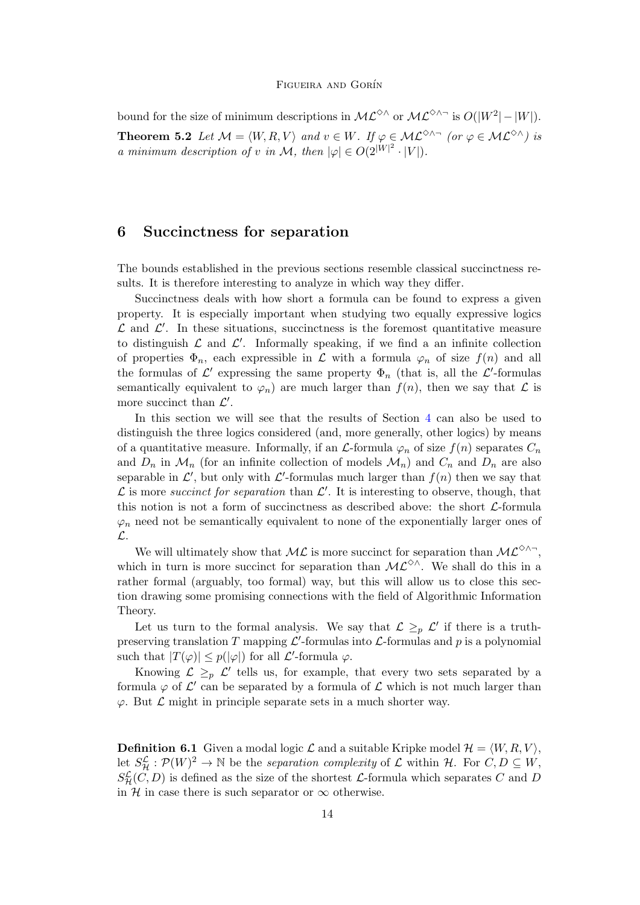bound for the size of minimum descriptions in  $ML^{\diamond\wedge}$  or  $ML^{\diamond\wedge}$  is  $O(|W^2|-|W|)$ . **Theorem 5.2** Let  $\mathcal{M} = \langle W, R, V \rangle$  and  $v \in W$ . If  $\varphi \in \mathcal{ML}^{\diamond} \wedge \neg$  (or  $\varphi \in \mathcal{ML}^{\diamond} \wedge$ ) is a minimum description of v in M, then  $|\varphi| \in O(2^{|W|^2} \cdot |V|)$ .

### <span id="page-13-0"></span>6 Succinctness for separation

The bounds established in the previous sections resemble classical succinctness results. It is therefore interesting to analyze in which way they differ.

Succinctness deals with how short a formula can be found to express a given property. It is especially important when studying two equally expressive logics  $\mathcal L$  and  $\mathcal L'$ . In these situations, succinctness is the foremost quantitative measure to distinguish  $\mathcal L$  and  $\mathcal L'$ . Informally speaking, if we find a an infinite collection of properties  $\Phi_n$ , each expressible in  $\mathcal L$  with a formula  $\varphi_n$  of size  $f(n)$  and all the formulas of  $\mathcal{L}'$  expressing the same property  $\Phi_n$  (that is, all the  $\mathcal{L}'$ -formulas semantically equivalent to  $\varphi_n$ ) are much larger than  $f(n)$ , then we say that  $\mathcal L$  is more succinct than  $\mathcal{L}'$ .

In this section we will see that the results of Section [4](#page-8-0) can also be used to distinguish the three logics considered (and, more generally, other logics) by means of a quantitative measure. Informally, if an  $\mathcal{L}$ -formula  $\varphi_n$  of size  $f(n)$  separates  $C_n$ and  $D_n$  in  $\mathcal{M}_n$  (for an infinite collection of models  $\mathcal{M}_n$ ) and  $C_n$  and  $D_n$  are also separable in  $\mathcal{L}'$ , but only with  $\mathcal{L}'$ -formulas much larger than  $f(n)$  then we say that  $\mathcal L$  is more succinct for separation than  $\mathcal L'$ . It is interesting to observe, though, that this notion is not a form of succinctness as described above: the short  $\mathcal{L}$ -formula  $\varphi_n$  need not be semantically equivalent to none of the exponentially larger ones of L.

We will ultimately show that  $\mathcal{ML}$  is more succinct for separation than  $\mathcal{ML}^{\diamondsuit\wedge\neg}$ , which in turn is more succinct for separation than  $\mathcal{ML}^{\diamond\wedge}$ . We shall do this in a rather formal (arguably, too formal) way, but this will allow us to close this section drawing some promising connections with the field of Algorithmic Information Theory.

Let us turn to the formal analysis. We say that  $\mathcal{L} \geq_{p} \mathcal{L}'$  if there is a truthpreserving translation T mapping  $\mathcal{L}'$ -formulas into  $\mathcal{L}$ -formulas and p is a polynomial such that  $|T(\varphi)| \leq p(|\varphi|)$  for all  $\mathcal{L}'$ -formula  $\varphi$ .

Knowing  $\mathcal{L} \geq_{p} \mathcal{L}'$  tells us, for example, that every two sets separated by a formula  $\varphi$  of  $\mathcal{L}'$  can be separated by a formula of  $\mathcal{L}$  which is not much larger than  $\varphi$ . But  $\mathcal L$  might in principle separate sets in a much shorter way.

<span id="page-13-1"></span>**Definition 6.1** Given a modal logic  $\mathcal{L}$  and a suitable Kripke model  $\mathcal{H} = \langle W, R, V \rangle$ , let  $S_{\mathcal{H}}^{\mathcal{L}}:\mathcal{P}(W)^2\to\mathbb{N}$  be the separation complexity of  $\mathcal{L}$  within  $\mathcal{H}$ . For  $C, D \subseteq W$ ,  $S_{\mathcal{H}}^{\mathcal{L}}(C, D)$  is defined as the size of the shortest  $\mathcal{L}$ -formula which separates C and D in H in case there is such separator or  $\infty$  otherwise.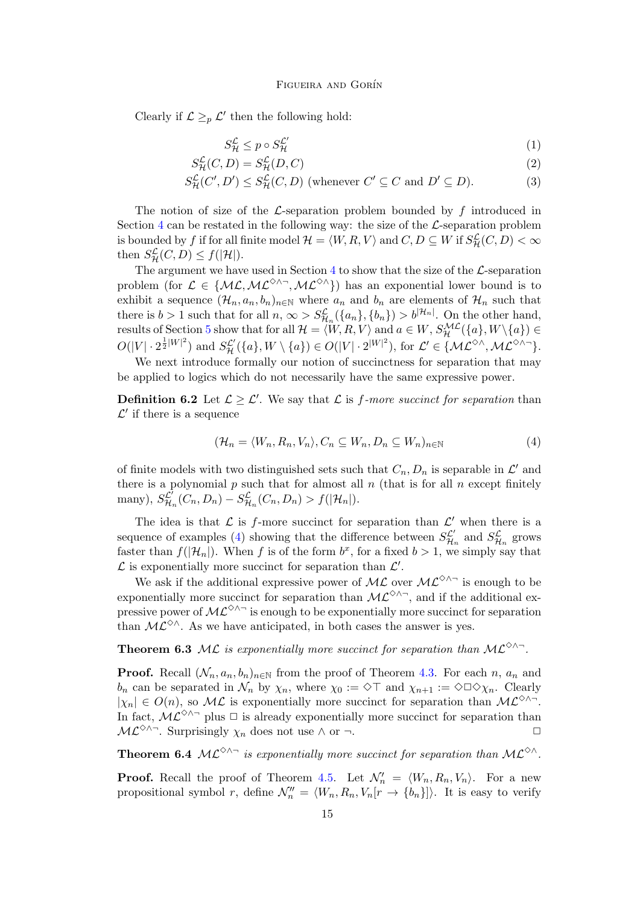Clearly if  $\mathcal{L} \geq_{p} \mathcal{L}'$  then the following hold:

<span id="page-14-1"></span>
$$
S_{\mathcal{H}}^{\mathcal{L}} \le p \circ S_{\mathcal{H}}^{\mathcal{L}'} \tag{1}
$$

$$
S_{\mathcal{H}}^{\mathcal{L}}(C,D) = S_{\mathcal{H}}^{\mathcal{L}}(D,C)
$$
\n
$$
(2)
$$

$$
S_{\mathcal{H}}^{\mathcal{L}}(C', D') \le S_{\mathcal{H}}^{\mathcal{L}}(C, D) \text{ (whenever } C' \subseteq C \text{ and } D' \subseteq D). \tag{3}
$$

The notion of size of the  $\mathcal{L}$ -separation problem bounded by f introduced in Section  $4$  can be restated in the following way: the size of the  $\mathcal{L}$ -separation problem is bounded by f if for all finite model  $\mathcal{H} = \langle W, R, V \rangle$  and  $C, D \subseteq W$  if  $S^{\mathcal{L}}_{\mathcal{H}}(C, D) < \infty$ then  $S_{\mathcal{H}}^{\mathcal{L}}(C, D) \leq f(|\mathcal{H}|).$ 

The argument we have used in Section [4](#page-8-0) to show that the size of the  $\mathcal{L}\text{-separation}$ problem (for  $\mathcal{L} \in \{ML, \mathcal{ML}^{\diamond} \land \neg, \mathcal{ML}^{\diamond} \land \}$ ) has an exponential lower bound is to exhibit a sequence  $(\mathcal{H}_n, a_n, b_n)_{n \in \mathbb{N}}$  where  $a_n$  and  $b_n$  are elements of  $\mathcal{H}_n$  such that there is  $b > 1$  such that for all  $n, \infty > S^{\mathcal{L}}_{\mathcal{H}_n}(\{a_n\}, \{b_n\}) > b^{|\mathcal{H}_n|}$ . On the other hand, results of Section [5](#page-11-0) show that for all  $\mathcal{H} = \langle W, R, V \rangle$  and  $a \in W$ ,  $S_{\mathcal{H}}^{\mathcal{ML}}(\{a\}, W \setminus \{a\}) \in$  $O(|V| \cdot 2^{\frac{1}{2}|W|^2})$  and  $S^{\mathcal{L}'}_{\mathcal{H}}(\{a\}, W \setminus \{a\}) \in O(|V| \cdot 2^{|W|^2})$ , for  $\mathcal{L}' \in \{\mathcal{ML}^{\diamond \wedge}, \mathcal{ML}^{\diamond \wedge \neg}\}.$ 

We next introduce formally our notion of succinctness for separation that may be applied to logics which do not necessarily have the same expressive power.

**Definition 6.2** Let  $\mathcal{L} \geq \mathcal{L}'$ . We say that  $\mathcal{L}$  is f-more succinct for separation than  $\mathcal{L}'$  if there is a sequence

<span id="page-14-0"></span>
$$
(\mathcal{H}_n = \langle W_n, R_n, V_n \rangle, C_n \subseteq W_n, D_n \subseteq W_n)_{n \in \mathbb{N}}
$$
(4)

of finite models with two distinguished sets such that  $C_n, D_n$  is separable in  $\mathcal{L}'$  and there is a polynomial  $p$  such that for almost all  $n$  (that is for all  $n$  except finitely many),  $S_{\mathcal{H}_n}^{\mathcal{L}'}(C_n, D_n) - S_{\mathcal{H}_n}^{\mathcal{L}}(C_n, D_n) > f(|\mathcal{H}_n|).$ 

The idea is that  $\mathcal L$  is f-more succinct for separation than  $\mathcal L'$  when there is a sequence of examples [\(4\)](#page-14-0) showing that the difference between  $S_{\mathcal{H}_n}^{\mathcal{L}'}$  and  $S_{\mathcal{H}_n}^{\mathcal{L}}$  grows faster than  $f(|\mathcal{H}_n|)$ . When f is of the form  $b^x$ , for a fixed  $b > 1$ , we simply say that  $\mathcal L$  is exponentially more succinct for separation than  $\mathcal L'$ .

We ask if the additional expressive power of  $ML$  over  $ML^{\diamondsuit\wedge\neg}$  is enough to be exponentially more succinct for separation than  $\mathcal{ML}^{\diamond}\wedge\neg$ , and if the additional expressive power of  $ML^{\diamondsuit\wedge\neg}$  is enough to be exponentially more succinct for separation than  $ML^{\diamond\wedge}$ . As we have anticipated, in both cases the answer is yes.

**Theorem 6.3** ML is exponentially more succinct for separation than  $ML^{\diamondsuit\wedge\neg}$ .

**Proof.** Recall  $(\mathcal{N}_n, a_n, b_n)_{n \in \mathbb{N}}$  from the proof of Theorem [4.3.](#page-10-2) For each n,  $a_n$  and  $b_n$  can be separated in  $\mathcal{N}_n$  by  $\chi_n$ , where  $\chi_0 := \Diamond \top$  and  $\chi_{n+1} := \Diamond \Box \Diamond \chi_n$ . Clearly  $|\chi_n| \in O(n)$ , so  $\mathcal{ML}$  is exponentially more succinct for separation than  $\mathcal{ML}^{\diamond\wedge\sim}$ . In fact,  $\mathcal{ML}^{\diamond}\wedge\neg$  plus  $\Box$  is already exponentially more succinct for separation than  $\mathcal{ML}^{\diamond\wedge\sim}$ . Surprisingly  $\chi_n$  does not use  $\wedge$  or  $\neg$ .

**Theorem 6.4**  $\mathcal{ML}^{\diamond}\wedge\neg$  is exponentially more succinct for separation than  $\mathcal{ML}^{\diamond}\wedge\neg$ .

**Proof.** Recall the proof of Theorem [4.5.](#page-11-1) Let  $\mathcal{N}'_n = \langle W_n, R_n, V_n \rangle$ . For a new propositional symbol r, define  $\mathcal{N}_n'' = \langle W_n, R_n, V_n[r \to \{b_n\}]\rangle$ . It is easy to verify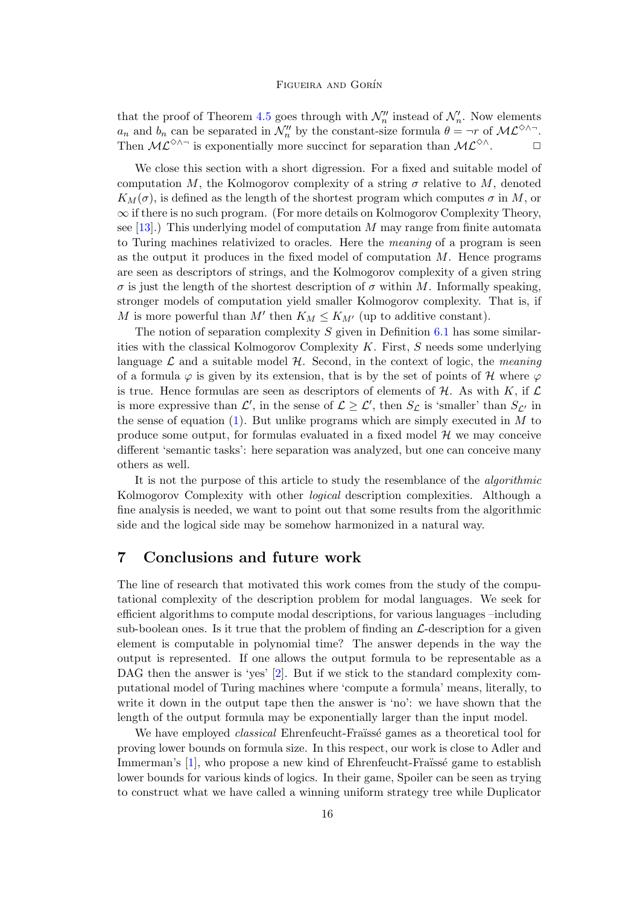that the proof of Theorem [4.5](#page-11-1) goes through with  $\mathcal{N}'_n$  instead of  $\mathcal{N}'_n$ . Now elements  $a_n$  and  $b_n$  can be separated in  $\mathcal{N}_n''$  by the constant-size formula  $\theta = \neg r$  of  $\mathcal{ML}^{\diamond} \wedge \neg$ . Then  $\mathcal{ML}^{\diamond\wedge\sim}$  is exponentially more succinct for separation than  $\mathcal{ML}^{\diamond\wedge}$ .  $\Box$ 

We close this section with a short digression. For a fixed and suitable model of computation M, the Kolmogorov complexity of a string  $\sigma$  relative to M, denoted  $K_M(\sigma)$ , is defined as the length of the shortest program which computes  $\sigma$  in M, or  $\infty$  if there is no such program. (For more details on Kolmogorov Complexity Theory, see  $[13]$ .) This underlying model of computation M may range from finite automata to Turing machines relativized to oracles. Here the meaning of a program is seen as the output it produces in the fixed model of computation  $M$ . Hence programs are seen as descriptors of strings, and the Kolmogorov complexity of a given string  $\sigma$  is just the length of the shortest description of  $\sigma$  within M. Informally speaking, stronger models of computation yield smaller Kolmogorov complexity. That is, if M is more powerful than  $M'$  then  $K_M \leq K_{M'}$  (up to additive constant).

The notion of separation complexity  $S$  given in Definition [6.1](#page-13-1) has some similarities with the classical Kolmogorov Complexity  $K$ . First,  $S$  needs some underlying language  $\mathcal L$  and a suitable model  $\mathcal H$ . Second, in the context of logic, the meaning of a formula  $\varphi$  is given by its extension, that is by the set of points of H where  $\varphi$ is true. Hence formulas are seen as descriptors of elements of  $H$ . As with K, if  $\mathcal L$ is more expressive than  $\mathcal{L}'$ , in the sense of  $\mathcal{L} \geq \mathcal{L}'$ , then  $S_{\mathcal{L}}$  is 'smaller' than  $S_{\mathcal{L}'}$  in the sense of equation  $(1)$ . But unlike programs which are simply executed in  $M$  to produce some output, for formulas evaluated in a fixed model  $\mathcal H$  we may conceive different 'semantic tasks': here separation was analyzed, but one can conceive many others as well.

It is not the purpose of this article to study the resemblance of the algorithmic Kolmogorov Complexity with other logical description complexities. Although a fine analysis is needed, we want to point out that some results from the algorithmic side and the logical side may be somehow harmonized in a natural way.

## <span id="page-15-0"></span>7 Conclusions and future work

The line of research that motivated this work comes from the study of the computational complexity of the description problem for modal languages. We seek for efficient algorithms to compute modal descriptions, for various languages –including sub-boolean ones. Is it true that the problem of finding an  $\mathcal{L}\text{-description}$  for a given element is computable in polynomial time? The answer depends in the way the output is represented. If one allows the output formula to be representable as a DAG then the answer is 'yes' [\[2\]](#page-16-1). But if we stick to the standard complexity computational model of Turing machines where 'compute a formula' means, literally, to write it down in the output tape then the answer is 'no': we have shown that the length of the output formula may be exponentially larger than the input model.

We have employed *classical* Ehrenfeucht-Fraüssé games as a theoretical tool for proving lower bounds on formula size. In this respect, our work is close to Adler and Immerman's [\[1\]](#page-16-2), who propose a new kind of Ehrenfeucht-Fraüssé game to establish lower bounds for various kinds of logics. In their game, Spoiler can be seen as trying to construct what we have called a winning uniform strategy tree while Duplicator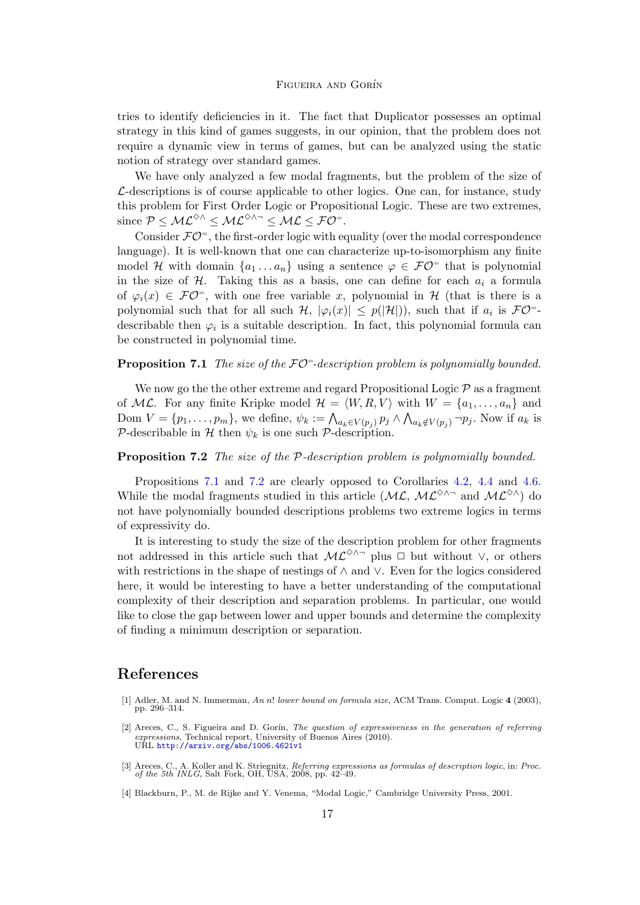tries to identify deficiencies in it. The fact that Duplicator possesses an optimal strategy in this kind of games suggests, in our opinion, that the problem does not require a dynamic view in terms of games, but can be analyzed using the static notion of strategy over standard games.

We have only analyzed a few modal fragments, but the problem of the size of  $\mathcal{L}\text{-}\text{descriptions}$  is of course applicable to other logics. One can, for instance, study this problem for First Order Logic or Propositional Logic. These are two extremes, since  $\mathcal{P} \leq \mathcal{ML}^{\diamondsuit \wedge} \leq \mathcal{ML}^{\diamondsuit \wedge \neg} \leq \mathcal{ML} \leq \mathcal{FO}^{\exists}$ .

Consider  $\mathcal{FO}^=$ , the first-order logic with equality (over the modal correspondence language). It is well-known that one can characterize up-to-isomorphism any finite model H with domain  $\{a_1 \ldots a_n\}$  using a sentence  $\varphi \in \mathcal{FO}^=$  that is polynomial in the size of  $H$ . Taking this as a basis, one can define for each  $a_i$  a formula of  $\varphi_i(x) \in \mathcal{FO}^=$ , with one free variable x, polynomial in H (that is there is a polynomial such that for all such  $\mathcal{H}, |\varphi_i(x)| \leq p(|\mathcal{H}|)$ , such that if  $a_i$  is  $\mathcal{FO}^{-}$ describable then  $\varphi_i$  is a suitable description. In fact, this polynomial formula can be constructed in polynomial time.

### <span id="page-16-4"></span>**Proposition 7.1** The size of the  $\mathcal{FO}^=$ -description problem is polynomially bounded.

We now go the the other extreme and regard Propositional Logic  $P$  as a fragment of ML. For any finite Kripke model  $\mathcal{H} = \langle W, R, V \rangle$  with  $W = \{a_1, \ldots, a_n\}$  and Dom  $V = \{p_1, \ldots, p_m\}$ , we define,  $\psi_k := \bigwedge_{a_k \in V(p_j)} p_j \wedge \bigwedge_{a_k \notin V(p_j)} \neg p_j$ . Now if  $a_k$  is P-describable in H then  $\psi_k$  is one such P-description.

### <span id="page-16-5"></span>Proposition 7.2 The size of the P-description problem is polynomially bounded.

Propositions [7.1](#page-16-4) and [7.2](#page-16-5) are clearly opposed to Corollaries [4.2,](#page-10-3) [4.4](#page-11-2) and [4.6.](#page-11-3) While the modal fragments studied in this article ( $\mathcal{ML}$ ,  $\mathcal{ML}^{\diamond}\wedge\neg$  and  $\mathcal{ML}^{\diamond}\wedge$ ) do not have polynomially bounded descriptions problems two extreme logics in terms of expressivity do.

It is interesting to study the size of the description problem for other fragments not addressed in this article such that  $\mathcal{ML}^{\diamond\wedge\sim}$  plus  $\Box$  but without  $\vee$ , or others with restrictions in the shape of nestings of ∧ and ∨. Even for the logics considered here, it would be interesting to have a better understanding of the computational complexity of their description and separation problems. In particular, one would like to close the gap between lower and upper bounds and determine the complexity of finding a minimum description or separation.

# References

- <span id="page-16-2"></span>[1] Adler, M. and N. Immerman, An n! lower bound on formula size, ACM Trans. Comput. Logic 4 (2003), pp. 296–314.
- <span id="page-16-1"></span>[2] Areces, C., S. Figueira and D. Gorín, *The question of expressiveness in the generation of referring* expressions, Technical report, University of Buenos Aires (2010).<br>URL <http://arxiv.org/abs/1006.4621v1>
- <span id="page-16-0"></span>[3] Areces, C., A. Koller and K. Striegnitz, Referring expressions as formulas of description logic, in: Proc. of the 5th INLG, Salt Fork, OH, USA, 2008, pp. 42–49.
- <span id="page-16-3"></span>[4] Blackburn, P., M. de Rijke and Y. Venema, "Modal Logic," Cambridge University Press, 2001.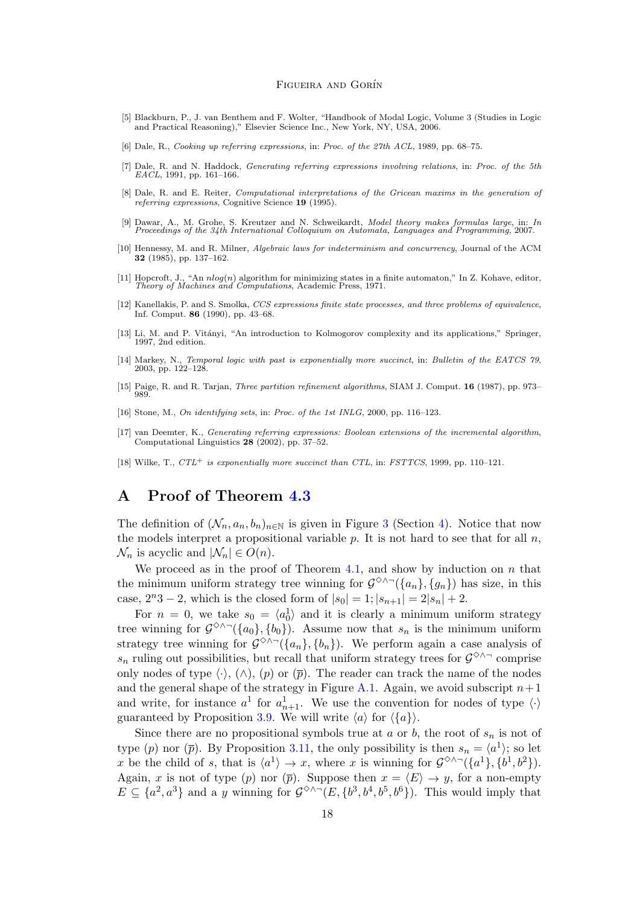- <span id="page-17-10"></span>[5] Blackburn, P., J. van Benthem and F. Wolter, "Handbook of Modal Logic, Volume 3 (Studies in Logic and Practical Reasoning)," Elsevier Science Inc., New York, NY, USA, 2006.
- <span id="page-17-0"></span>[6] Dale, R., Cooking up referring expressions, in: Proc. of the 27th ACL, 1989, pp. 68–75.
- <span id="page-17-1"></span>[7] Dale, R. and N. Haddock, Generating referring expressions involving relations, in: Proc. of the 5th EACL, 1991, pp. 161–166.
- <span id="page-17-2"></span>[8] Dale, R. and E. Reiter, Computational interpretations of the Gricean maxims in the generation of referring expressions, Cognitive Science 19 (1995).
- <span id="page-17-7"></span>[9] Dawar, A., M. Grohe, S. Kreutzer and N. Schweikardt, Model theory makes formulas large, in: In Proceedings of the 34th International Colloquium on Automata, Languages and Programming, 2007.
- <span id="page-17-11"></span>[10] Hennessy, M. and R. Milner, Algebraic laws for indeterminism and concurrency, Journal of the ACM 32 (1985), pp. 137–162.
- <span id="page-17-13"></span>[11] Hopcroft, J., "An  $nlog(n)$  algorithm for minimizing states in a finite automaton," In Z. Kohave, editor, Theory of Machines and Computations, Academic Press, 1971.
- <span id="page-17-6"></span>[12] Kanellakis, P. and S. Smolka, CCS expressions finite state processes, and three problems of equivalence, Inf. Comput. 86 (1990), pp. 43–68.
- <span id="page-17-14"></span>[13] Li, M. and P. Vitányi, "An introduction to Kolmogorov complexity and its applications," Springer, 1997, 2nd edition.
- <span id="page-17-8"></span>[14] Markey, N., Temporal logic with past is exponentially more succinct, in: Bulletin of the EATCS 79, 2003, pp. 122–128.
- <span id="page-17-5"></span>[15] Paige, R. and R. Tarjan, Three partition refinement algorithms, SIAM J. Comput. 16 (1987), pp. 973– 989.
- <span id="page-17-3"></span>[16] Stone, M., On identifying sets, in: Proc. of the 1st INLG, 2000, pp. 116-123.
- <span id="page-17-4"></span>[17] van Deemter, K., Generating referring expressions: Boolean extensions of the incremental algorithm, Computational Linguistics 28 (2002), pp. 37–52.
- <span id="page-17-9"></span>[18] Wilke, T.,  $CTL^+$  is exponentially more succinct than CTL, in: FSTTCS, 1999, pp. 110-121.

## <span id="page-17-12"></span>A Proof of Theorem [4.3](#page-10-2)

The definition of  $(\mathcal{N}_n, a_n, b_n)_{n \in \mathbb{N}}$  is given in Figure [3](#page-10-1) (Section [4\)](#page-8-0). Notice that now the models interpret a propositional variable  $p$ . It is not hard to see that for all  $n$ ,  $\mathcal{N}_n$  is acyclic and  $|\mathcal{N}_n| \in O(n)$ .

We proceed as in the proof of Theorem [4.1,](#page-8-2) and show by induction on  $n$  that the minimum uniform strategy tree winning for  $\mathcal{G}^{\diamond\wedge\sim}(\{a_n\}, \{g_n\})$  has size, in this case,  $2^{n}3 - 2$ , which is the closed form of  $|s_0| = 1; |s_{n+1}| = 2|s_n| + 2$ .

For  $n = 0$ , we take  $s_0 = \langle a_0^1 \rangle$  and it is clearly a minimum uniform strategy tree winning for  $\mathcal{G}^{\diamond\wedge\sim}(\{a_0\}, \{b_0\})$ . Assume now that  $s_n$  is the minimum uniform strategy tree winning for  $\mathcal{G}^{\diamondsuit\wedge\neg}(\{a_n\},\{b_n\})$ . We perform again a case analysis of  $s_n$  ruling out possibilities, but recall that uniform strategy trees for  $\mathcal{G}^{\diamond\wedge\sim}$  comprise only nodes of type  $\langle \cdot \rangle$ ,  $(\wedge)$ ,  $(p)$  or  $(\overline{p})$ . The reader can track the name of the nodes and the general shape of the strategy in Figure [A.1.](#page-18-0) Again, we avoid subscript  $n+1$ and write, for instance  $a^1$  for  $a_{n+1}^1$ . We use the convention for nodes of type  $\langle \cdot \rangle$ guaranteed by Proposition [3.9.](#page-7-1) We will write  $\langle a \rangle$  for  $\langle \{a\} \rangle$ .

Since there are no propositional symbols true at  $a$  or  $b$ , the root of  $s_n$  is not of type (p) nor ( $\bar{p}$ ). By Proposition [3.11,](#page-7-2) the only possibility is then  $s_n = \langle a^1 \rangle$ ; so let x be the child of s, that is  $\langle a^1 \rangle \to x$ , where x is winning for  $\mathcal{G}^{\diamond} \wedge \neg (\{a^1\}, \{b^1, b^2\})$ . Again, x is not of type (p) nor ( $\bar{p}$ ). Suppose then  $x = \langle E \rangle \to y$ , for a non-empty  $E \subseteq \{a^2, a^3\}$  and a y winning for  $\mathcal{G}^{\diamond} \wedge \neg(E, \{b^3, b^4, b^5, b^6\})$ . This would imply that